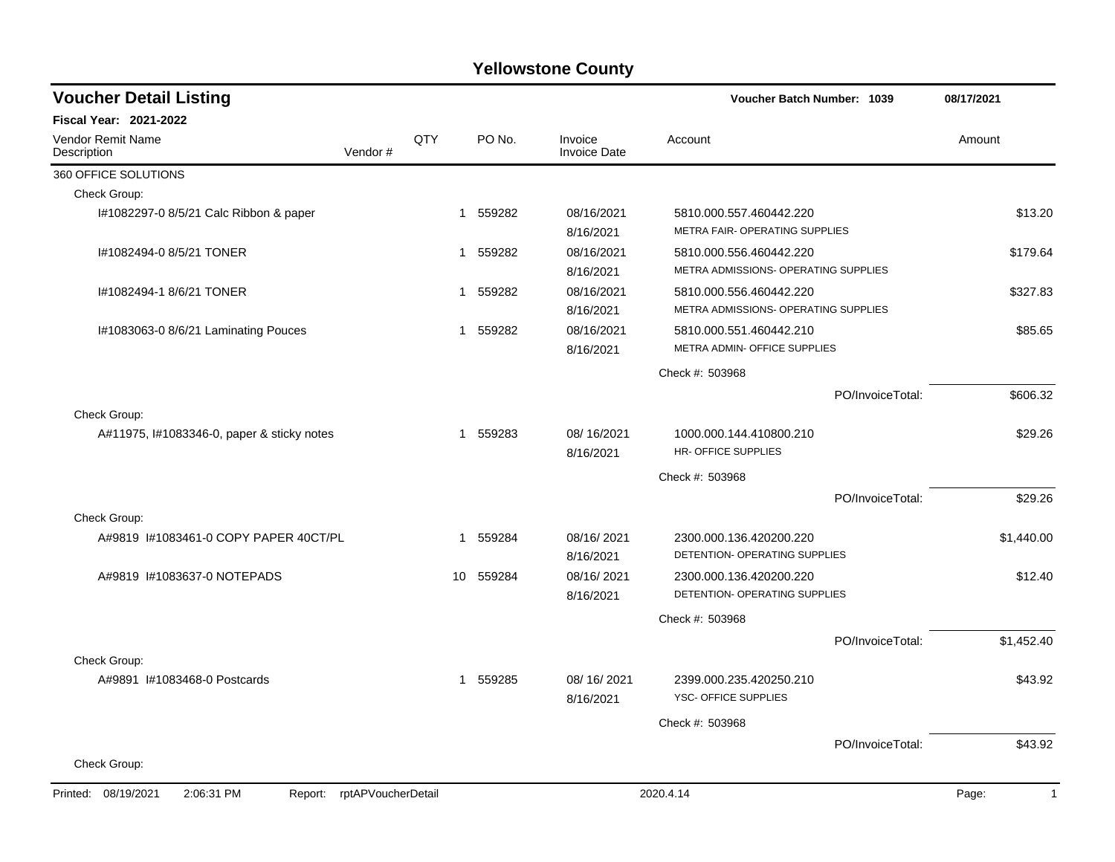| <b>Voucher Detail Listing</b>                |                    |     |                        |                                | Voucher Batch Number: 1039                                      |                  | 08/17/2021            |
|----------------------------------------------|--------------------|-----|------------------------|--------------------------------|-----------------------------------------------------------------|------------------|-----------------------|
| <b>Fiscal Year: 2021-2022</b>                |                    |     |                        |                                |                                                                 |                  |                       |
| <b>Vendor Remit Name</b><br>Description      | Vendor#            | QTY | PO No.                 | Invoice<br><b>Invoice Date</b> | Account                                                         |                  | Amount                |
| 360 OFFICE SOLUTIONS                         |                    |     |                        |                                |                                                                 |                  |                       |
| Check Group:                                 |                    |     |                        |                                |                                                                 |                  |                       |
| I#1082297-0 8/5/21 Calc Ribbon & paper       |                    |     | 559282<br>$\mathbf{1}$ | 08/16/2021<br>8/16/2021        | 5810.000.557.460442.220<br>METRA FAIR- OPERATING SUPPLIES       |                  | \$13.20               |
| I#1082494-0 8/5/21 TONER                     |                    |     | 559282<br>$\mathbf{1}$ | 08/16/2021<br>8/16/2021        | 5810.000.556.460442.220<br>METRA ADMISSIONS- OPERATING SUPPLIES |                  | \$179.64              |
| I#1082494-1 8/6/21 TONER                     |                    |     | 559282<br>1            | 08/16/2021<br>8/16/2021        | 5810.000.556.460442.220<br>METRA ADMISSIONS- OPERATING SUPPLIES |                  | \$327.83              |
| I#1083063-0 8/6/21 Laminating Pouces         |                    |     | 559282<br>1            | 08/16/2021<br>8/16/2021        | 5810.000.551.460442.210<br>METRA ADMIN- OFFICE SUPPLIES         |                  | \$85.65               |
|                                              |                    |     |                        |                                | Check #: 503968                                                 |                  |                       |
|                                              |                    |     |                        |                                |                                                                 | PO/InvoiceTotal: | \$606.32              |
| Check Group:                                 |                    |     |                        |                                |                                                                 |                  |                       |
| A#11975, I#1083346-0, paper & sticky notes   |                    |     | 559283<br>$\mathbf 1$  | 08/16/2021<br>8/16/2021        | 1000.000.144.410800.210<br>HR- OFFICE SUPPLIES                  |                  | \$29.26               |
|                                              |                    |     |                        |                                | Check #: 503968                                                 |                  |                       |
|                                              |                    |     |                        |                                |                                                                 | PO/InvoiceTotal: | \$29.26               |
| Check Group:                                 |                    |     |                        |                                |                                                                 |                  |                       |
| A#9819 I#1083461-0 COPY PAPER 40CT/PL        |                    |     | 559284<br>1            | 08/16/2021<br>8/16/2021        | 2300.000.136.420200.220<br>DETENTION- OPERATING SUPPLIES        |                  | \$1,440.00            |
| A#9819 #1083637-0 NOTEPADS                   |                    |     | 10 559284              | 08/16/2021<br>8/16/2021        | 2300.000.136.420200.220<br>DETENTION- OPERATING SUPPLIES        |                  | \$12.40               |
|                                              |                    |     |                        |                                | Check #: 503968                                                 |                  |                       |
|                                              |                    |     |                        |                                |                                                                 | PO/InvoiceTotal: | \$1,452.40            |
| Check Group:                                 |                    |     |                        |                                |                                                                 |                  |                       |
| A#9891 #1083468-0 Postcards                  |                    |     | 559285<br>$\mathbf{1}$ | 08/16/2021<br>8/16/2021        | 2399.000.235.420250.210<br>YSC- OFFICE SUPPLIES                 |                  | \$43.92               |
|                                              |                    |     |                        |                                | Check #: 503968                                                 |                  |                       |
|                                              |                    |     |                        |                                |                                                                 | PO/InvoiceTotal: | \$43.92               |
| Check Group:                                 |                    |     |                        |                                |                                                                 |                  |                       |
| Printed: 08/19/2021<br>2:06:31 PM<br>Report: | rptAPVoucherDetail |     |                        |                                | 2020.4.14                                                       |                  | Page:<br>$\mathbf{1}$ |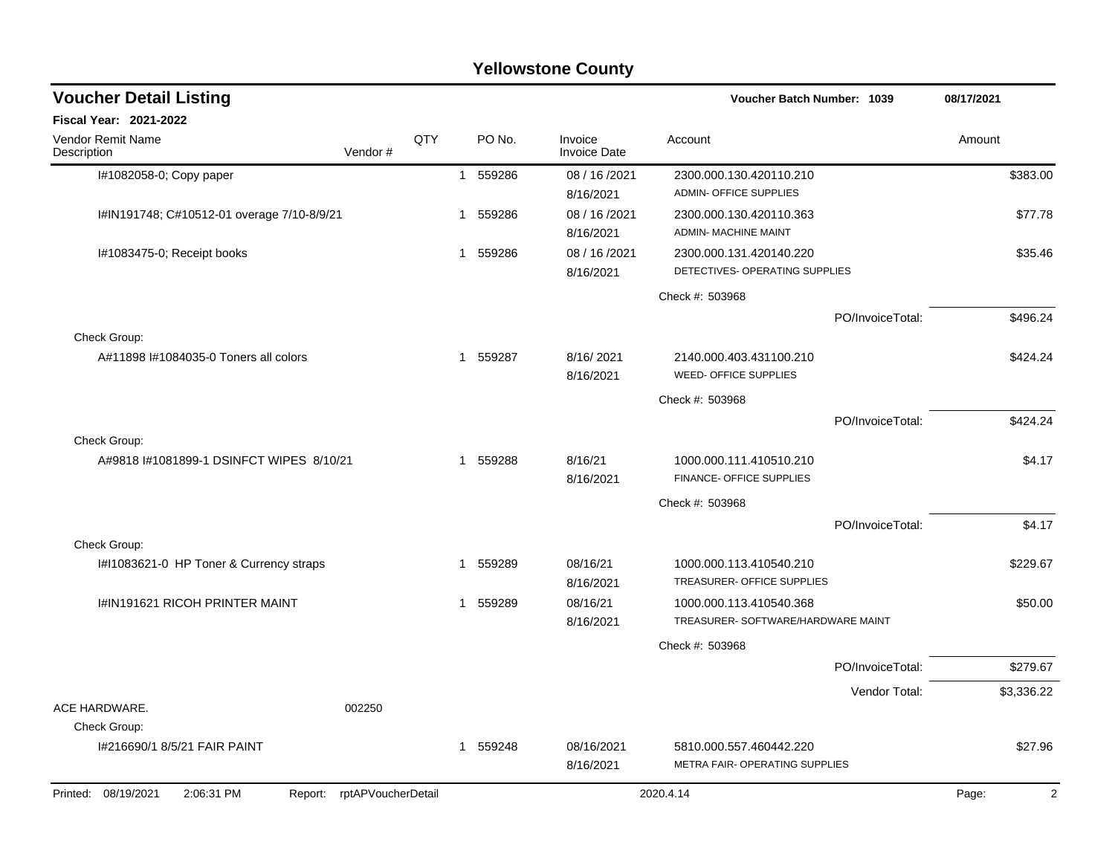| <b>Voucher Detail Listing</b>                         |                            |     |   |          |                                | Voucher Batch Number: 1039                                    |                  | 08/17/2021              |
|-------------------------------------------------------|----------------------------|-----|---|----------|--------------------------------|---------------------------------------------------------------|------------------|-------------------------|
| <b>Fiscal Year: 2021-2022</b>                         |                            |     |   |          |                                |                                                               |                  |                         |
| <b>Vendor Remit Name</b><br>Description               | Vendor#                    | QTY |   | PO No.   | Invoice<br><b>Invoice Date</b> | Account                                                       |                  | Amount                  |
| I#1082058-0; Copy paper                               |                            |     |   | 1 559286 | 08 / 16 / 2021<br>8/16/2021    | 2300.000.130.420110.210<br>ADMIN- OFFICE SUPPLIES             |                  | \$383.00                |
| I#IN191748; C#10512-01 overage 7/10-8/9/21            |                            |     |   | 1 559286 | 08 / 16 / 2021<br>8/16/2021    | 2300.000.130.420110.363<br><b>ADMIN- MACHINE MAINT</b>        |                  | \$77.78                 |
| I#1083475-0; Receipt books                            |                            |     | 1 | 559286   | 08 / 16 / 2021<br>8/16/2021    | 2300.000.131.420140.220<br>DETECTIVES- OPERATING SUPPLIES     |                  | \$35.46                 |
|                                                       |                            |     |   |          |                                | Check #: 503968                                               |                  |                         |
|                                                       |                            |     |   |          |                                |                                                               | PO/InvoiceTotal: | \$496.24                |
| Check Group:<br>A#11898 I#1084035-0 Toners all colors |                            |     |   | 1 559287 | 8/16/2021<br>8/16/2021         | 2140.000.403.431100.210<br>WEED- OFFICE SUPPLIES              |                  | \$424.24                |
|                                                       |                            |     |   |          |                                | Check #: 503968                                               |                  |                         |
|                                                       |                            |     |   |          |                                |                                                               | PO/InvoiceTotal: | \$424.24                |
| Check Group:                                          |                            |     |   |          |                                |                                                               |                  |                         |
| A#9818 I#1081899-1 DSINFCT WIPES 8/10/21              |                            |     | 1 | 559288   | 8/16/21<br>8/16/2021           | 1000.000.111.410510.210<br>FINANCE- OFFICE SUPPLIES           |                  | \$4.17                  |
|                                                       |                            |     |   |          |                                | Check #: 503968                                               |                  |                         |
|                                                       |                            |     |   |          |                                |                                                               | PO/InvoiceTotal: | \$4.17                  |
| Check Group:                                          |                            |     |   |          |                                |                                                               |                  |                         |
| I#I1083621-0 HP Toner & Currency straps               |                            |     | 1 | 559289   | 08/16/21<br>8/16/2021          | 1000.000.113.410540.210<br>TREASURER- OFFICE SUPPLIES         |                  | \$229.67                |
| I#IN191621 RICOH PRINTER MAINT                        |                            |     | 1 | 559289   | 08/16/21<br>8/16/2021          | 1000.000.113.410540.368<br>TREASURER- SOFTWARE/HARDWARE MAINT |                  | \$50.00                 |
|                                                       |                            |     |   |          |                                | Check #: 503968                                               |                  |                         |
|                                                       |                            |     |   |          |                                |                                                               | PO/InvoiceTotal: | \$279.67                |
|                                                       |                            |     |   |          |                                |                                                               | Vendor Total:    | \$3,336.22              |
| ACE HARDWARE.                                         | 002250                     |     |   |          |                                |                                                               |                  |                         |
| Check Group:                                          |                            |     |   |          |                                |                                                               |                  |                         |
| I#216690/1 8/5/21 FAIR PAINT                          |                            |     | 1 | 559248   | 08/16/2021<br>8/16/2021        | 5810.000.557.460442.220<br>METRA FAIR- OPERATING SUPPLIES     |                  | \$27.96                 |
| Printed: 08/19/2021<br>2:06:31 PM                     | Report: rptAPVoucherDetail |     |   |          |                                | 2020.4.14                                                     |                  | $\overline{2}$<br>Page: |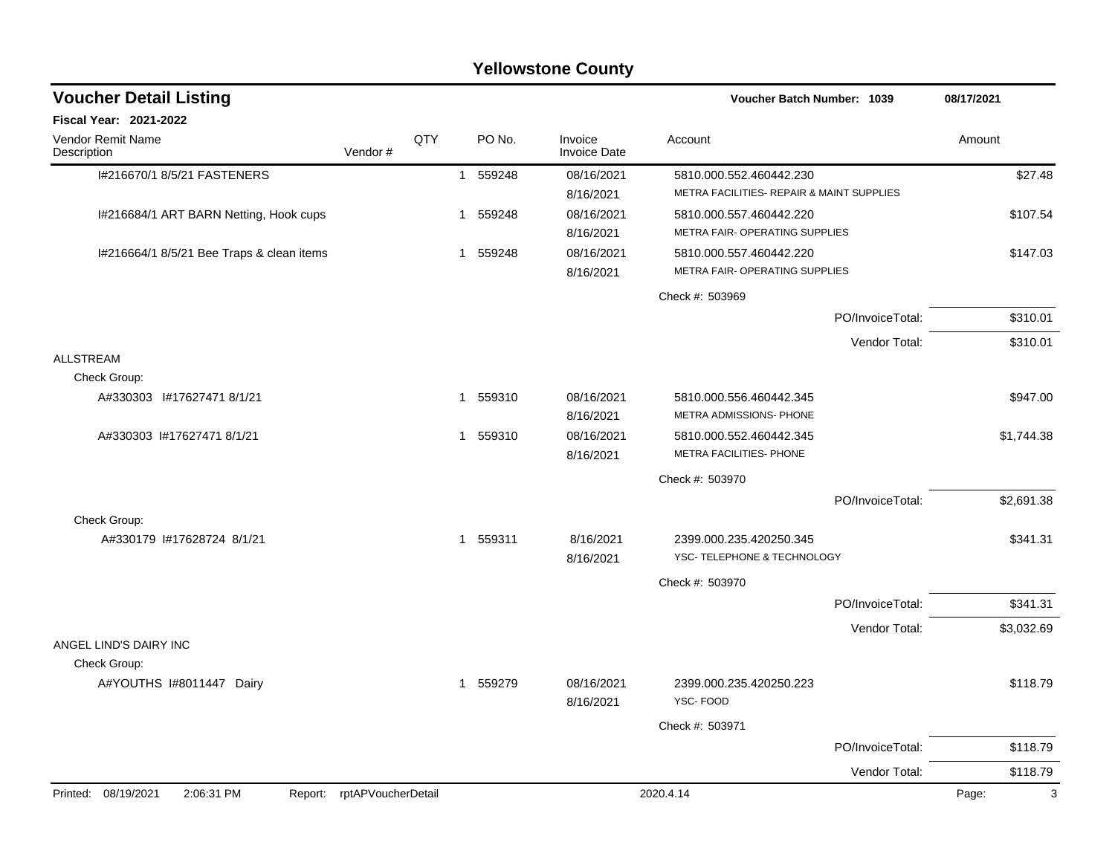| <b>Voucher Detail Listing</b>                |                    |     |                        |                                | Voucher Batch Number: 1039                                |                  | 08/17/2021            |
|----------------------------------------------|--------------------|-----|------------------------|--------------------------------|-----------------------------------------------------------|------------------|-----------------------|
| Fiscal Year: 2021-2022                       |                    |     |                        |                                |                                                           |                  |                       |
| Vendor Remit Name<br>Description             | Vendor#            | QTY | PO No.                 | Invoice<br><b>Invoice Date</b> | Account                                                   |                  | Amount                |
| I#216670/1 8/5/21 FASTENERS                  |                    |     | 1 559248               | 08/16/2021                     | 5810.000.552.460442.230                                   |                  | \$27.48               |
|                                              |                    |     |                        | 8/16/2021                      | METRA FACILITIES- REPAIR & MAINT SUPPLIES                 |                  |                       |
| I#216684/1 ART BARN Netting, Hook cups       |                    |     | 1 559248               | 08/16/2021                     | 5810.000.557.460442.220                                   |                  | \$107.54              |
|                                              |                    |     |                        | 8/16/2021                      | METRA FAIR- OPERATING SUPPLIES                            |                  |                       |
| I#216664/1 8/5/21 Bee Traps & clean items    |                    |     | 1 559248               | 08/16/2021<br>8/16/2021        | 5810.000.557.460442.220<br>METRA FAIR- OPERATING SUPPLIES |                  | \$147.03              |
|                                              |                    |     |                        |                                | Check #: 503969                                           |                  |                       |
|                                              |                    |     |                        |                                |                                                           | PO/InvoiceTotal: | \$310.01              |
|                                              |                    |     |                        |                                |                                                           | Vendor Total:    | \$310.01              |
| <b>ALLSTREAM</b>                             |                    |     |                        |                                |                                                           |                  |                       |
| Check Group:                                 |                    |     |                        |                                |                                                           |                  |                       |
| A#330303 1#17627471 8/1/21                   |                    |     | 1 559310               | 08/16/2021<br>8/16/2021        | 5810.000.556.460442.345<br>METRA ADMISSIONS- PHONE        |                  | \$947.00              |
| A#330303 1#17627471 8/1/21                   |                    |     | 1 559310               | 08/16/2021                     | 5810.000.552.460442.345                                   |                  | \$1,744.38            |
|                                              |                    |     |                        | 8/16/2021                      | METRA FACILITIES- PHONE                                   |                  |                       |
|                                              |                    |     |                        |                                | Check #: 503970                                           |                  |                       |
|                                              |                    |     |                        |                                |                                                           | PO/InvoiceTotal: | \$2,691.38            |
| Check Group:                                 |                    |     |                        |                                |                                                           |                  |                       |
| A#330179 1#17628724 8/1/21                   |                    |     | 1 559311               | 8/16/2021<br>8/16/2021         | 2399.000.235.420250.345<br>YSC- TELEPHONE & TECHNOLOGY    |                  | \$341.31              |
|                                              |                    |     |                        |                                | Check #: 503970                                           |                  |                       |
|                                              |                    |     |                        |                                |                                                           | PO/InvoiceTotal: | \$341.31              |
|                                              |                    |     |                        |                                |                                                           | Vendor Total:    | \$3,032.69            |
| ANGEL LIND'S DAIRY INC                       |                    |     |                        |                                |                                                           |                  |                       |
| Check Group:                                 |                    |     |                        |                                |                                                           |                  |                       |
| A#YOUTHS I#8011447 Dairy                     |                    |     | 559279<br>$\mathbf{1}$ | 08/16/2021<br>8/16/2021        | 2399.000.235.420250.223<br>YSC-FOOD                       |                  | \$118.79              |
|                                              |                    |     |                        |                                | Check #: 503971                                           |                  |                       |
|                                              |                    |     |                        |                                |                                                           | PO/InvoiceTotal: | \$118.79              |
|                                              |                    |     |                        |                                |                                                           | Vendor Total:    | \$118.79              |
| Printed: 08/19/2021<br>2:06:31 PM<br>Report: | rptAPVoucherDetail |     |                        |                                | 2020.4.14                                                 |                  | $\mathbf{3}$<br>Page: |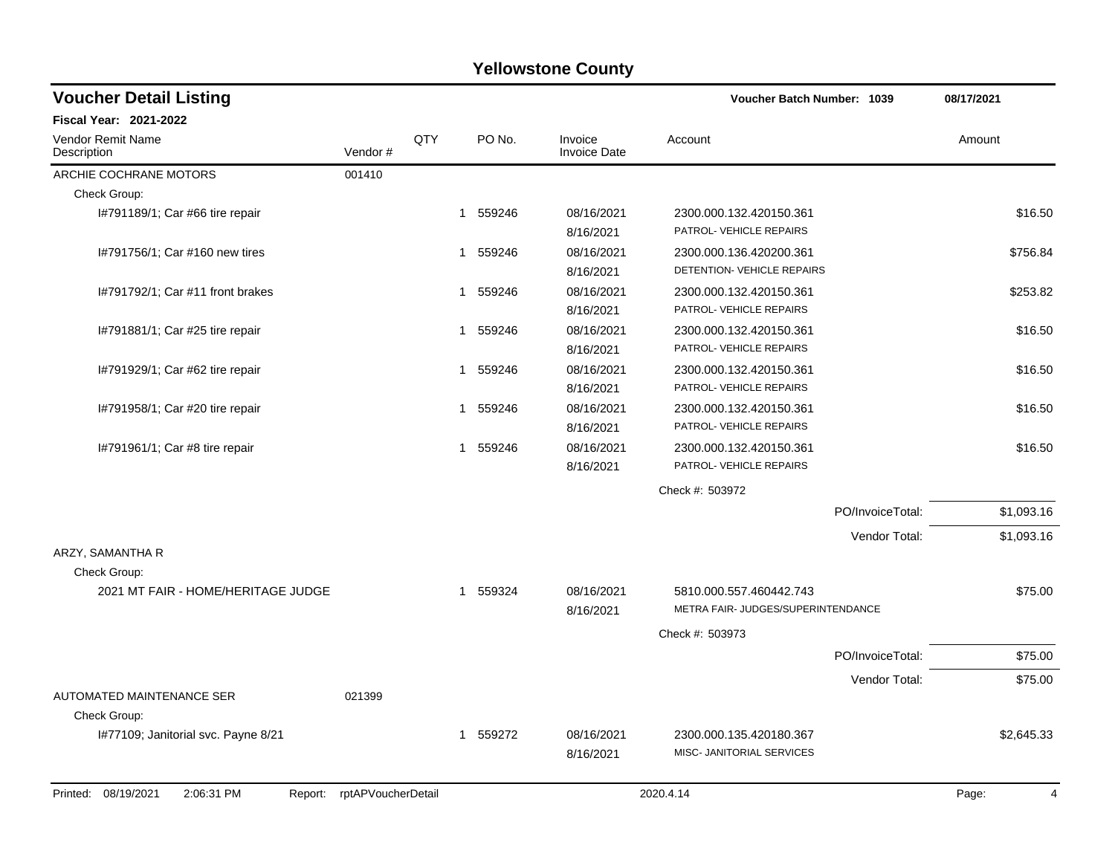| <b>Voucher Detail Listing</b>                   |                    |                |        | Voucher Batch Number: 1039     |                                                               | 08/17/2021       |            |
|-------------------------------------------------|--------------------|----------------|--------|--------------------------------|---------------------------------------------------------------|------------------|------------|
| Fiscal Year: 2021-2022                          |                    |                |        |                                |                                                               |                  |            |
| Vendor Remit Name<br>Description                | Vendor#            | QTY            | PO No. | Invoice<br><b>Invoice Date</b> | Account                                                       |                  | Amount     |
| ARCHIE COCHRANE MOTORS                          | 001410             |                |        |                                |                                                               |                  |            |
| Check Group:                                    |                    |                |        |                                |                                                               |                  |            |
| I#791189/1; Car #66 tire repair                 |                    | 1              | 559246 | 08/16/2021<br>8/16/2021        | 2300.000.132.420150.361<br>PATROL- VEHICLE REPAIRS            |                  | \$16.50    |
| I#791756/1; Car #160 new tires                  |                    | 1              | 559246 | 08/16/2021<br>8/16/2021        | 2300.000.136.420200.361<br>DETENTION- VEHICLE REPAIRS         |                  | \$756.84   |
| I#791792/1; Car #11 front brakes                |                    | $\overline{1}$ | 559246 | 08/16/2021<br>8/16/2021        | 2300.000.132.420150.361<br>PATROL- VEHICLE REPAIRS            |                  | \$253.82   |
| I#791881/1; Car #25 tire repair                 |                    | 1              | 559246 | 08/16/2021<br>8/16/2021        | 2300.000.132.420150.361<br>PATROL- VEHICLE REPAIRS            |                  | \$16.50    |
| I#791929/1; Car #62 tire repair                 |                    | -1             | 559246 | 08/16/2021<br>8/16/2021        | 2300.000.132.420150.361<br>PATROL- VEHICLE REPAIRS            |                  | \$16.50    |
| I#791958/1; Car #20 tire repair                 |                    | 1              | 559246 | 08/16/2021<br>8/16/2021        | 2300.000.132.420150.361<br>PATROL- VEHICLE REPAIRS            |                  | \$16.50    |
| 1#791961/1; Car #8 tire repair                  |                    | 1              | 559246 | 08/16/2021<br>8/16/2021        | 2300.000.132.420150.361<br>PATROL- VEHICLE REPAIRS            |                  | \$16.50    |
|                                                 |                    |                |        |                                | Check #: 503972                                               |                  |            |
|                                                 |                    |                |        |                                |                                                               | PO/InvoiceTotal: | \$1,093.16 |
| ARZY, SAMANTHA R                                |                    |                |        |                                |                                                               | Vendor Total:    | \$1,093.16 |
| Check Group:                                    |                    |                |        |                                |                                                               |                  |            |
| 2021 MT FAIR - HOME/HERITAGE JUDGE              |                    | -1             | 559324 | 08/16/2021<br>8/16/2021        | 5810.000.557.460442.743<br>METRA FAIR- JUDGES/SUPERINTENDANCE |                  | \$75.00    |
|                                                 |                    |                |        |                                | Check #: 503973                                               |                  |            |
|                                                 |                    |                |        |                                |                                                               | PO/InvoiceTotal: | \$75.00    |
|                                                 |                    |                |        |                                |                                                               | Vendor Total:    | \$75.00    |
| AUTOMATED MAINTENANCE SER<br>Check Group:       | 021399             |                |        |                                |                                                               |                  |            |
| I#77109; Janitorial svc. Payne 8/21             |                    | 1              | 559272 | 08/16/2021<br>8/16/2021        | 2300.000.135.420180.367<br>MISC- JANITORIAL SERVICES          |                  | \$2,645.33 |
| 08/19/2021<br>2:06:31 PM<br>Printed:<br>Report: | rptAPVoucherDetail |                |        |                                | 2020.4.14                                                     |                  | Page:<br>4 |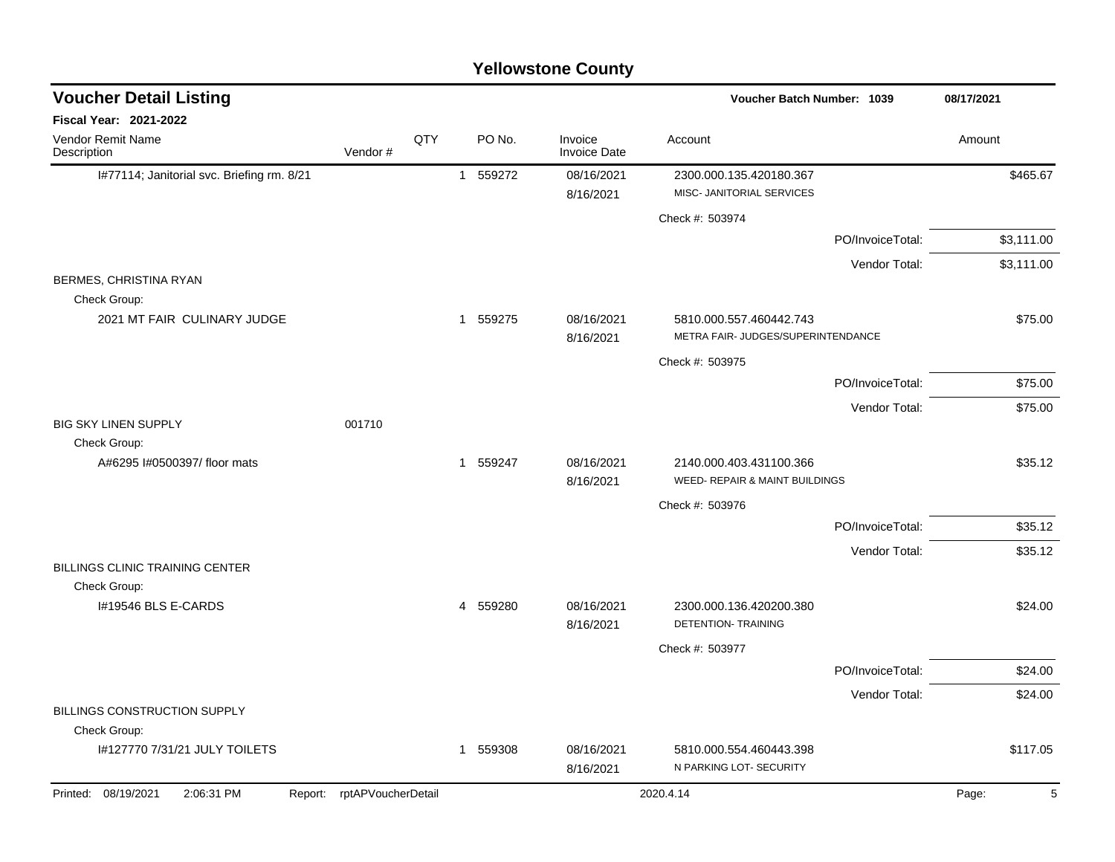|                                            |                            |     |                        | <b>Yellowstone County</b>      |                                                               |                  |            |
|--------------------------------------------|----------------------------|-----|------------------------|--------------------------------|---------------------------------------------------------------|------------------|------------|
| <b>Voucher Detail Listing</b>              |                            |     |                        |                                | <b>Voucher Batch Number: 1039</b>                             |                  | 08/17/2021 |
| Fiscal Year: 2021-2022                     |                            |     |                        |                                |                                                               |                  |            |
| Vendor Remit Name<br>Description           | Vendor#                    | QTY | PO No.                 | Invoice<br><b>Invoice Date</b> | Account                                                       |                  | Amount     |
| I#77114; Janitorial svc. Briefing rm. 8/21 |                            |     | 559272<br>1            | 08/16/2021<br>8/16/2021        | 2300.000.135.420180.367<br>MISC- JANITORIAL SERVICES          |                  | \$465.67   |
|                                            |                            |     |                        |                                | Check #: 503974                                               |                  |            |
|                                            |                            |     |                        |                                |                                                               | PO/InvoiceTotal: | \$3,111.00 |
| BERMES, CHRISTINA RYAN                     |                            |     |                        |                                |                                                               | Vendor Total:    | \$3,111.00 |
| Check Group:                               |                            |     |                        |                                |                                                               |                  |            |
| 2021 MT FAIR CULINARY JUDGE                |                            |     | 1 559275               | 08/16/2021<br>8/16/2021        | 5810.000.557.460442.743<br>METRA FAIR- JUDGES/SUPERINTENDANCE |                  | \$75.00    |
|                                            |                            |     |                        |                                | Check #: 503975                                               |                  |            |
|                                            |                            |     |                        |                                |                                                               | PO/InvoiceTotal: | \$75.00    |
| <b>BIG SKY LINEN SUPPLY</b>                | 001710                     |     |                        |                                |                                                               | Vendor Total:    | \$75.00    |
| Check Group:                               |                            |     |                        |                                |                                                               |                  |            |
| A#6295 I#0500397/ floor mats               |                            |     | 559247<br>$\mathbf{1}$ | 08/16/2021<br>8/16/2021        | 2140.000.403.431100.366<br>WEED- REPAIR & MAINT BUILDINGS     |                  | \$35.12    |
|                                            |                            |     |                        |                                | Check #: 503976                                               |                  |            |
|                                            |                            |     |                        |                                |                                                               | PO/InvoiceTotal: | \$35.12    |
| <b>BILLINGS CLINIC TRAINING CENTER</b>     |                            |     |                        |                                |                                                               | Vendor Total:    | \$35.12    |
| Check Group:<br>I#19546 BLS E-CARDS        |                            |     | 4 559280               | 08/16/2021                     | 2300.000.136.420200.380                                       |                  | \$24.00    |
|                                            |                            |     |                        | 8/16/2021                      | <b>DETENTION- TRAINING</b>                                    |                  |            |
|                                            |                            |     |                        |                                | Check #: 503977                                               |                  |            |
|                                            |                            |     |                        |                                |                                                               | PO/InvoiceTotal: | \$24.00    |
| BILLINGS CONSTRUCTION SUPPLY               |                            |     |                        |                                |                                                               | Vendor Total:    | \$24.00    |
| Check Group:                               |                            |     |                        |                                |                                                               |                  |            |
| I#127770 7/31/21 JULY TOILETS              |                            |     | 1 559308               | 08/16/2021<br>8/16/2021        | 5810.000.554.460443.398<br>N PARKING LOT- SECURITY            |                  | \$117.05   |
| Printed: 08/19/2021<br>2:06:31 PM          | Report: rptAPVoucherDetail |     |                        |                                | 2020.4.14                                                     |                  | 5<br>Page: |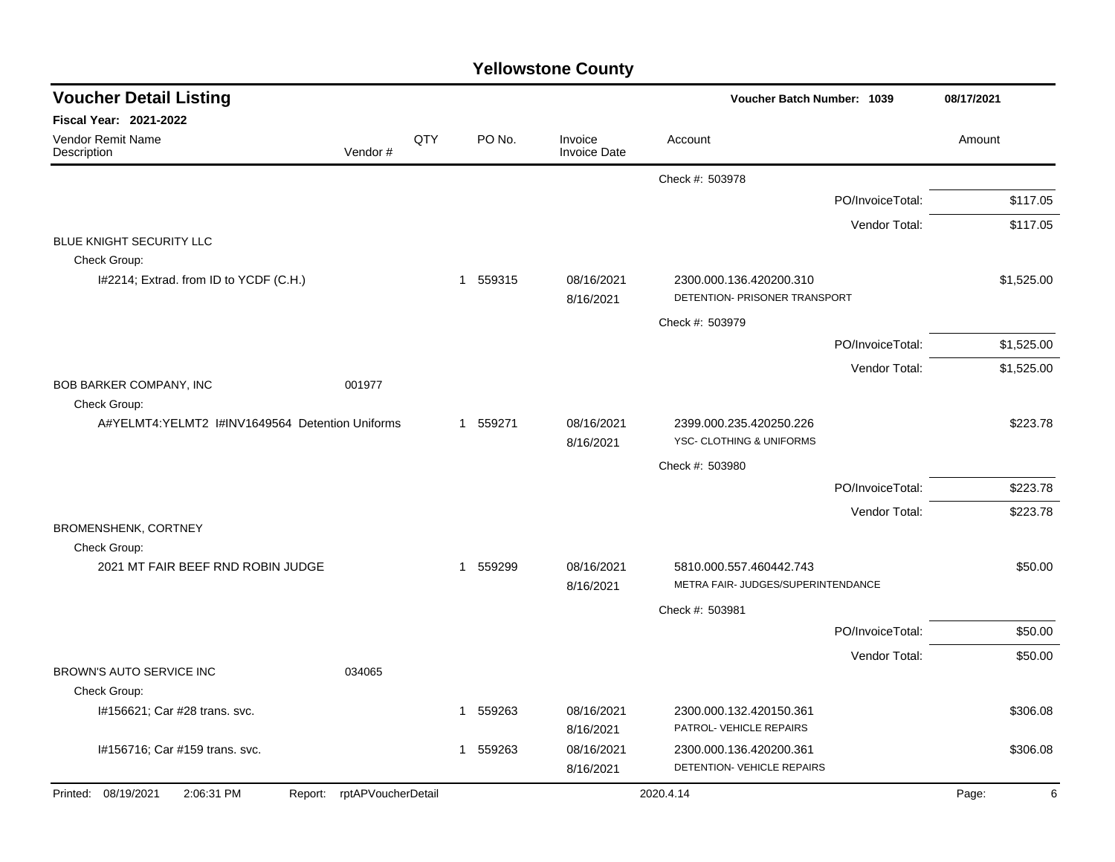| <b>Voucher Detail Listing</b>                   |                            |     |              |        |                                | Voucher Batch Number: 1039                                     |                  | 08/17/2021 |
|-------------------------------------------------|----------------------------|-----|--------------|--------|--------------------------------|----------------------------------------------------------------|------------------|------------|
| <b>Fiscal Year: 2021-2022</b>                   |                            |     |              |        |                                |                                                                |                  |            |
| Vendor Remit Name<br>Description                | Vendor#                    | QTY |              | PO No. | Invoice<br><b>Invoice Date</b> | Account                                                        |                  | Amount     |
|                                                 |                            |     |              |        |                                | Check #: 503978                                                |                  |            |
|                                                 |                            |     |              |        |                                |                                                                | PO/InvoiceTotal: | \$117.05   |
|                                                 |                            |     |              |        |                                |                                                                | Vendor Total:    | \$117.05   |
| BLUE KNIGHT SECURITY LLC                        |                            |     |              |        |                                |                                                                |                  |            |
| Check Group:                                    |                            |     |              |        |                                |                                                                |                  |            |
| I#2214; Extrad. from ID to YCDF (C.H.)          |                            |     | $\mathbf{1}$ | 559315 | 08/16/2021<br>8/16/2021        | 2300.000.136.420200.310<br>DETENTION- PRISONER TRANSPORT       |                  | \$1,525.00 |
|                                                 |                            |     |              |        |                                | Check #: 503979                                                |                  |            |
|                                                 |                            |     |              |        |                                |                                                                | PO/InvoiceTotal: | \$1,525.00 |
|                                                 |                            |     |              |        |                                |                                                                | Vendor Total:    | \$1,525.00 |
| BOB BARKER COMPANY, INC<br>Check Group:         | 001977                     |     |              |        |                                |                                                                |                  |            |
| A#YELMT4:YELMT2 I#INV1649564 Detention Uniforms |                            |     | 1 559271     |        | 08/16/2021<br>8/16/2021        | 2399.000.235.420250.226<br><b>YSC- CLOTHING &amp; UNIFORMS</b> |                  | \$223.78   |
|                                                 |                            |     |              |        |                                | Check #: 503980                                                |                  |            |
|                                                 |                            |     |              |        |                                |                                                                | PO/InvoiceTotal: | \$223.78   |
|                                                 |                            |     |              |        |                                |                                                                | Vendor Total:    | \$223.78   |
| BROMENSHENK, CORTNEY<br>Check Group:            |                            |     |              |        |                                |                                                                |                  |            |
| 2021 MT FAIR BEEF RND ROBIN JUDGE               |                            |     | $\mathbf{1}$ | 559299 | 08/16/2021<br>8/16/2021        | 5810.000.557.460442.743<br>METRA FAIR- JUDGES/SUPERINTENDANCE  |                  | \$50.00    |
|                                                 |                            |     |              |        |                                | Check #: 503981                                                |                  |            |
|                                                 |                            |     |              |        |                                |                                                                | PO/InvoiceTotal: | \$50.00    |
|                                                 |                            |     |              |        |                                |                                                                | Vendor Total:    | \$50.00    |
| BROWN'S AUTO SERVICE INC<br>Check Group:        | 034065                     |     |              |        |                                |                                                                |                  |            |
| I#156621; Car #28 trans. svc.                   |                            |     | 1            | 559263 | 08/16/2021                     | 2300.000.132.420150.361                                        |                  | \$306.08   |
|                                                 |                            |     |              |        | 8/16/2021                      | PATROL- VEHICLE REPAIRS                                        |                  |            |
| I#156716; Car #159 trans. svc.                  |                            |     | 1            | 559263 | 08/16/2021                     | 2300.000.136.420200.361                                        |                  | \$306.08   |
|                                                 |                            |     |              |        | 8/16/2021                      | DETENTION- VEHICLE REPAIRS                                     |                  |            |
| Printed: 08/19/2021<br>2:06:31 PM               | Report: rptAPVoucherDetail |     |              |        |                                | 2020.4.14                                                      |                  | 6<br>Page: |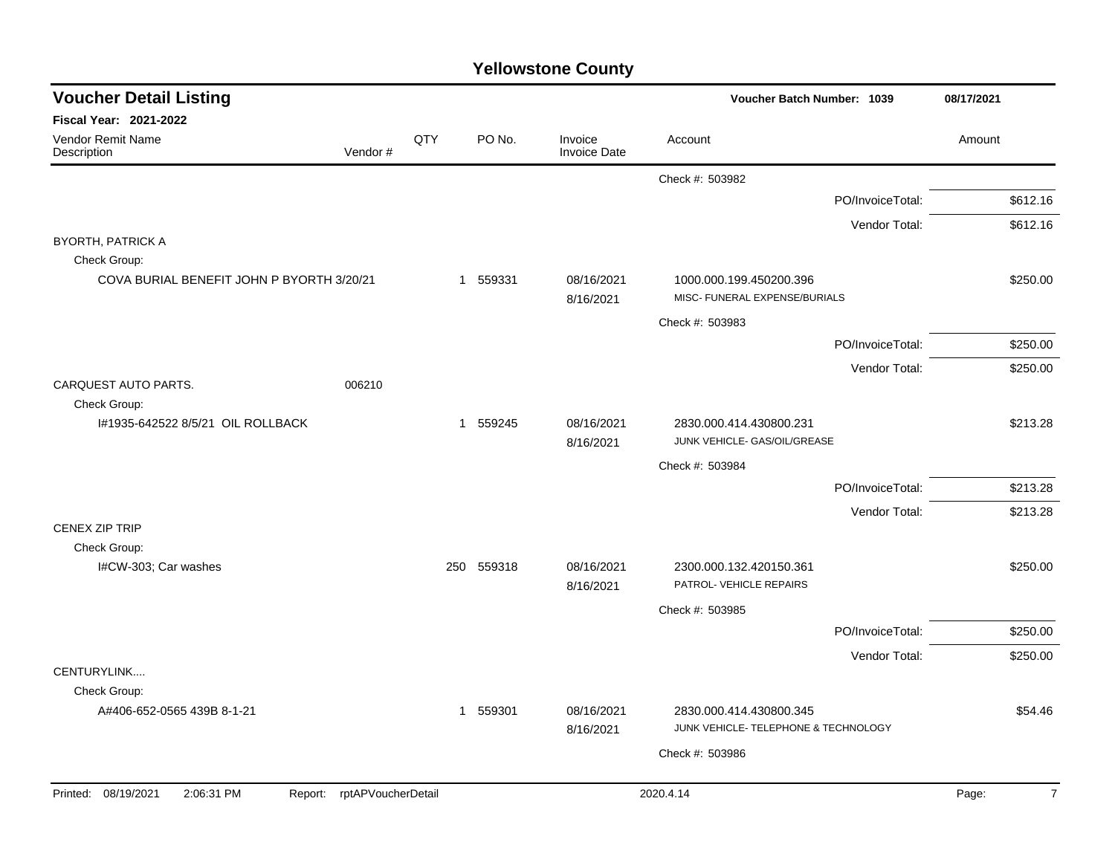| <b>Voucher Detail Listing</b>                     |                            |     |            |                                | Voucher Batch Number: 1039                                      |                  | 08/17/2021              |
|---------------------------------------------------|----------------------------|-----|------------|--------------------------------|-----------------------------------------------------------------|------------------|-------------------------|
| <b>Fiscal Year: 2021-2022</b>                     |                            |     |            |                                |                                                                 |                  |                         |
| Vendor Remit Name<br>Description                  | Vendor#                    | QTY | PO No.     | Invoice<br><b>Invoice Date</b> | Account                                                         |                  | Amount                  |
|                                                   |                            |     |            |                                | Check #: 503982                                                 |                  |                         |
|                                                   |                            |     |            |                                |                                                                 | PO/InvoiceTotal: | \$612.16                |
|                                                   |                            |     |            |                                |                                                                 | Vendor Total:    | \$612.16                |
| <b>BYORTH, PATRICK A</b>                          |                            |     |            |                                |                                                                 |                  |                         |
| Check Group:                                      |                            |     |            |                                |                                                                 |                  |                         |
| COVA BURIAL BENEFIT JOHN P BYORTH 3/20/21         |                            |     | 1 559331   | 08/16/2021<br>8/16/2021        | 1000.000.199.450200.396<br>MISC- FUNERAL EXPENSE/BURIALS        |                  | \$250.00                |
|                                                   |                            |     |            |                                | Check #: 503983                                                 |                  |                         |
|                                                   |                            |     |            |                                |                                                                 | PO/InvoiceTotal: | \$250.00                |
|                                                   |                            |     |            |                                |                                                                 | Vendor Total:    | \$250.00                |
| CARQUEST AUTO PARTS.                              | 006210                     |     |            |                                |                                                                 |                  |                         |
| Check Group:<br>I#1935-642522 8/5/21 OIL ROLLBACK |                            |     | 1 559245   | 08/16/2021                     | 2830.000.414.430800.231                                         |                  | \$213.28                |
|                                                   |                            |     |            | 8/16/2021                      | JUNK VEHICLE- GAS/OIL/GREASE                                    |                  |                         |
|                                                   |                            |     |            |                                | Check #: 503984                                                 |                  |                         |
|                                                   |                            |     |            |                                |                                                                 | PO/InvoiceTotal: | \$213.28                |
|                                                   |                            |     |            |                                |                                                                 | Vendor Total:    | \$213.28                |
| <b>CENEX ZIP TRIP</b>                             |                            |     |            |                                |                                                                 |                  |                         |
| Check Group:                                      |                            |     |            |                                |                                                                 |                  |                         |
| I#CW-303; Car washes                              |                            |     | 250 559318 | 08/16/2021<br>8/16/2021        | 2300.000.132.420150.361<br>PATROL- VEHICLE REPAIRS              |                  | \$250.00                |
|                                                   |                            |     |            |                                | Check #: 503985                                                 |                  |                         |
|                                                   |                            |     |            |                                |                                                                 | PO/InvoiceTotal: | \$250.00                |
|                                                   |                            |     |            |                                |                                                                 | Vendor Total:    | \$250.00                |
| CENTURYLINK                                       |                            |     |            |                                |                                                                 |                  |                         |
| Check Group:                                      |                            |     |            |                                |                                                                 |                  |                         |
| A#406-652-0565 439B 8-1-21                        |                            |     | 1 559301   | 08/16/2021<br>8/16/2021        | 2830.000.414.430800.345<br>JUNK VEHICLE- TELEPHONE & TECHNOLOGY |                  | \$54.46                 |
|                                                   |                            |     |            |                                |                                                                 |                  |                         |
|                                                   |                            |     |            |                                | Check #: 503986                                                 |                  |                         |
| Printed: 08/19/2021<br>2:06:31 PM                 | Report: rptAPVoucherDetail |     |            |                                | 2020.4.14                                                       |                  | $\overline{7}$<br>Page: |
|                                                   |                            |     |            |                                |                                                                 |                  |                         |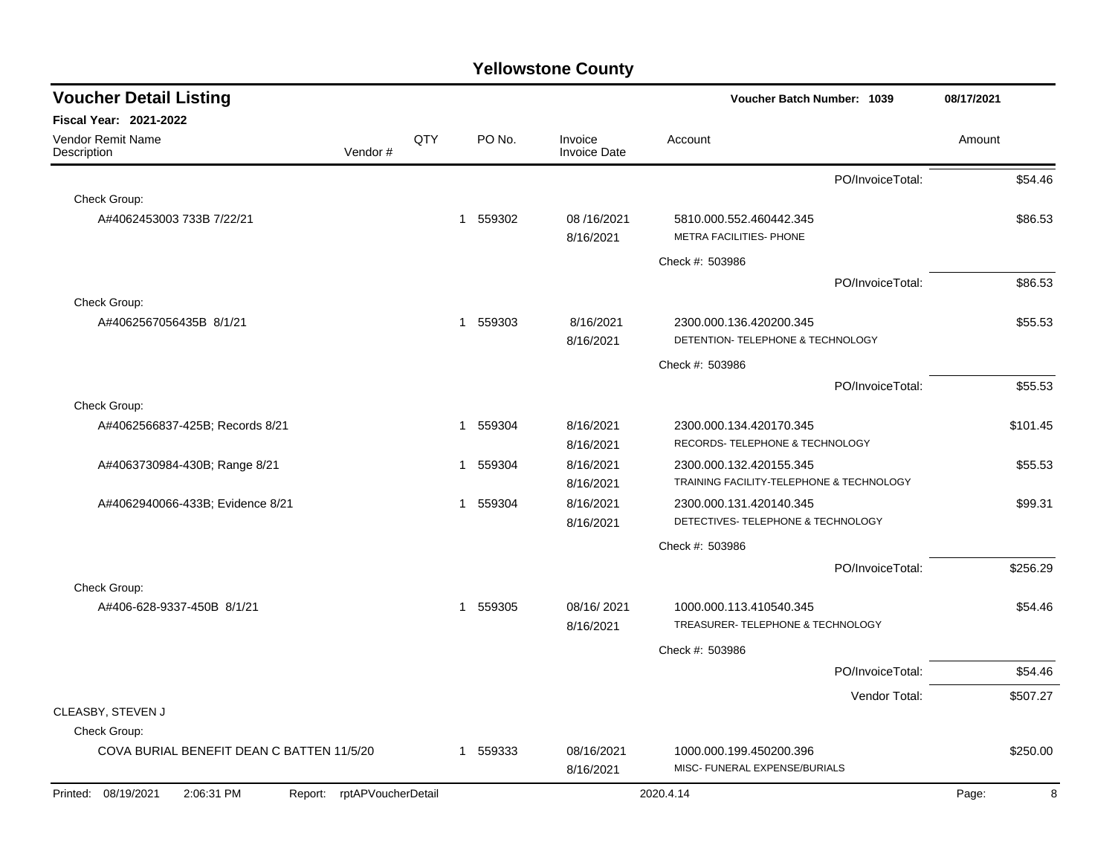| <b>Voucher Detail Listing</b>                                   | Voucher Batch Number: 1039 |     |             | 08/17/2021                     |                                                                     |                  |            |
|-----------------------------------------------------------------|----------------------------|-----|-------------|--------------------------------|---------------------------------------------------------------------|------------------|------------|
| <b>Fiscal Year: 2021-2022</b>                                   |                            |     |             |                                |                                                                     |                  |            |
| <b>Vendor Remit Name</b><br>Description                         | Vendor#                    | QTY | PO No.      | Invoice<br><b>Invoice Date</b> | Account                                                             |                  | Amount     |
|                                                                 |                            |     |             |                                |                                                                     | PO/InvoiceTotal: | \$54.46    |
| Check Group:                                                    |                            |     |             |                                |                                                                     |                  |            |
| A#4062453003 733B 7/22/21                                       |                            |     | 559302<br>1 | 08/16/2021<br>8/16/2021        | 5810.000.552.460442.345<br>METRA FACILITIES- PHONE                  |                  | \$86.53    |
|                                                                 |                            |     |             |                                | Check #: 503986                                                     |                  |            |
|                                                                 |                            |     |             |                                |                                                                     | PO/InvoiceTotal: | \$86.53    |
| Check Group:                                                    |                            |     |             |                                |                                                                     |                  |            |
| A#4062567056435B 8/1/21                                         |                            |     | 1 559303    | 8/16/2021<br>8/16/2021         | 2300.000.136.420200.345<br>DETENTION- TELEPHONE & TECHNOLOGY        |                  | \$55.53    |
|                                                                 |                            |     |             |                                | Check #: 503986                                                     |                  |            |
|                                                                 |                            |     |             |                                |                                                                     | PO/InvoiceTotal: | \$55.53    |
| Check Group:                                                    |                            |     |             |                                |                                                                     |                  |            |
| A#4062566837-425B; Records 8/21                                 |                            |     | 559304<br>1 | 8/16/2021<br>8/16/2021         | 2300.000.134.420170.345<br>RECORDS- TELEPHONE & TECHNOLOGY          |                  | \$101.45   |
| A#4063730984-430B; Range 8/21                                   |                            |     | 559304<br>1 | 8/16/2021<br>8/16/2021         | 2300.000.132.420155.345<br>TRAINING FACILITY-TELEPHONE & TECHNOLOGY |                  | \$55.53    |
| A#4062940066-433B; Evidence 8/21                                |                            |     | 559304<br>1 | 8/16/2021<br>8/16/2021         | 2300.000.131.420140.345<br>DETECTIVES- TELEPHONE & TECHNOLOGY       |                  | \$99.31    |
|                                                                 |                            |     |             |                                | Check #: 503986                                                     |                  |            |
|                                                                 |                            |     |             |                                |                                                                     | PO/InvoiceTotal: | \$256.29   |
| Check Group:                                                    |                            |     |             |                                |                                                                     |                  |            |
| A#406-628-9337-450B 8/1/21                                      |                            |     | 1 559305    | 08/16/2021<br>8/16/2021        | 1000.000.113.410540.345<br>TREASURER- TELEPHONE & TECHNOLOGY        |                  | \$54.46    |
|                                                                 |                            |     |             |                                | Check #: 503986                                                     |                  |            |
|                                                                 |                            |     |             |                                |                                                                     | PO/InvoiceTotal: | \$54.46    |
|                                                                 |                            |     |             |                                |                                                                     | Vendor Total:    | \$507.27   |
| CLEASBY, STEVEN J                                               |                            |     |             |                                |                                                                     |                  |            |
| Check Group:                                                    |                            |     |             |                                |                                                                     |                  |            |
| COVA BURIAL BENEFIT DEAN C BATTEN 11/5/20                       |                            |     | 1 559333    | 08/16/2021<br>8/16/2021        | 1000.000.199.450200.396<br>MISC- FUNERAL EXPENSE/BURIALS            |                  | \$250.00   |
| 2:06:31 PM<br>Report: rptAPVoucherDetail<br>Printed: 08/19/2021 |                            |     |             |                                | 2020.4.14                                                           |                  | 8<br>Page: |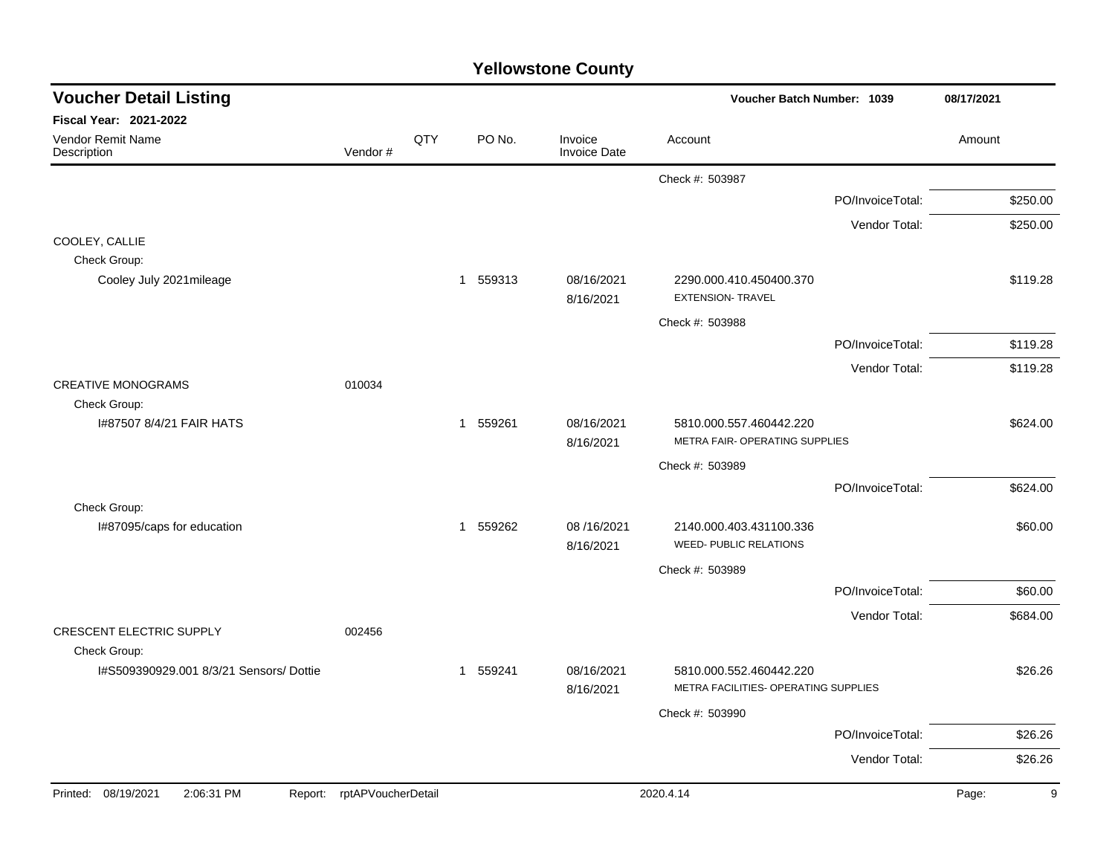| <b>Yellowstone County</b> |  |
|---------------------------|--|
|---------------------------|--|

| <b>Voucher Detail Listing</b>                           |                            |     |          |                                | Voucher Batch Number: 1039                                      |                  | 08/17/2021 |
|---------------------------------------------------------|----------------------------|-----|----------|--------------------------------|-----------------------------------------------------------------|------------------|------------|
| Fiscal Year: 2021-2022                                  |                            |     |          |                                |                                                                 |                  |            |
| Vendor Remit Name<br>Description                        | Vendor#                    | QTY | PO No.   | Invoice<br><b>Invoice Date</b> | Account                                                         |                  | Amount     |
|                                                         |                            |     |          |                                | Check #: 503987                                                 |                  |            |
|                                                         |                            |     |          |                                |                                                                 | PO/InvoiceTotal: | \$250.00   |
|                                                         |                            |     |          |                                |                                                                 | Vendor Total:    | \$250.00   |
| COOLEY, CALLIE<br>Check Group:                          |                            |     |          |                                |                                                                 |                  |            |
| Cooley July 2021 mileage                                |                            |     | 1 559313 | 08/16/2021<br>8/16/2021        | 2290.000.410.450400.370<br><b>EXTENSION- TRAVEL</b>             |                  | \$119.28   |
|                                                         |                            |     |          |                                | Check #: 503988                                                 |                  |            |
|                                                         |                            |     |          |                                |                                                                 | PO/InvoiceTotal: | \$119.28   |
|                                                         |                            |     |          |                                |                                                                 | Vendor Total:    | \$119.28   |
| <b>CREATIVE MONOGRAMS</b>                               | 010034                     |     |          |                                |                                                                 |                  |            |
| Check Group:<br>I#87507 8/4/21 FAIR HATS                |                            |     | 1 559261 | 08/16/2021<br>8/16/2021        | 5810.000.557.460442.220<br>METRA FAIR- OPERATING SUPPLIES       |                  | \$624.00   |
|                                                         |                            |     |          |                                | Check #: 503989                                                 |                  |            |
|                                                         |                            |     |          |                                |                                                                 | PO/InvoiceTotal: | \$624.00   |
| Check Group:                                            |                            |     |          |                                |                                                                 |                  |            |
| I#87095/caps for education                              |                            |     | 1 559262 | 08 /16/2021<br>8/16/2021       | 2140.000.403.431100.336<br><b>WEED- PUBLIC RELATIONS</b>        |                  | \$60.00    |
|                                                         |                            |     |          |                                | Check #: 503989                                                 |                  |            |
|                                                         |                            |     |          |                                |                                                                 | PO/InvoiceTotal: | \$60.00    |
| <b>CRESCENT ELECTRIC SUPPLY</b>                         | 002456                     |     |          |                                |                                                                 | Vendor Total:    | \$684.00   |
| Check Group:<br>I#S509390929.001 8/3/21 Sensors/ Dottie |                            |     | 1 559241 | 08/16/2021<br>8/16/2021        | 5810.000.552.460442.220<br>METRA FACILITIES- OPERATING SUPPLIES |                  | \$26.26    |
|                                                         |                            |     |          |                                | Check #: 503990                                                 |                  |            |
|                                                         |                            |     |          |                                |                                                                 | PO/InvoiceTotal: | \$26.26    |
|                                                         |                            |     |          |                                |                                                                 | Vendor Total:    | \$26.26    |
| Printed: 08/19/2021<br>2:06:31 PM                       | Report: rptAPVoucherDetail |     |          |                                | 2020.4.14                                                       |                  | Page:<br>9 |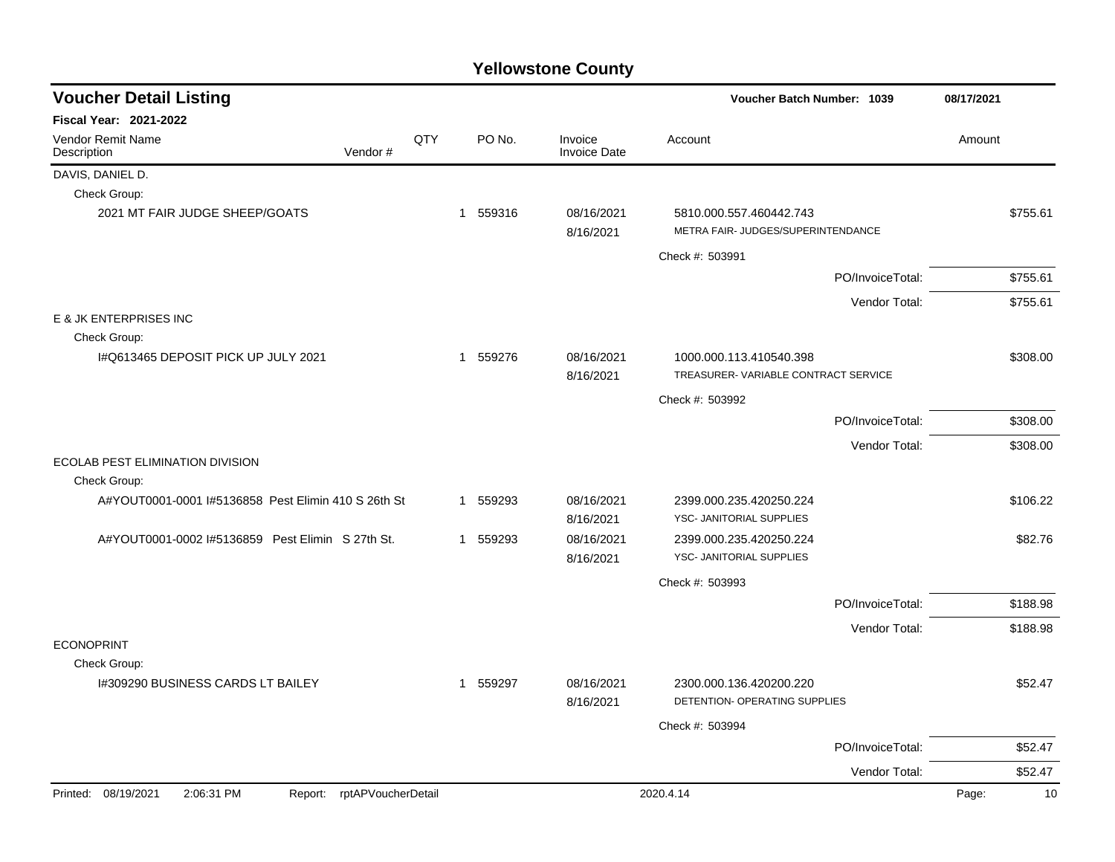| <b>Voucher Detail Listing</b>                                   |  |              |          |                                | Voucher Batch Number: 1039                                     |                  | 08/17/2021  |  |
|-----------------------------------------------------------------|--|--------------|----------|--------------------------------|----------------------------------------------------------------|------------------|-------------|--|
| <b>Fiscal Year: 2021-2022</b>                                   |  |              |          |                                |                                                                |                  |             |  |
| Vendor Remit Name<br>Vendor#<br>Description                     |  | QTY          | PO No.   | Invoice<br><b>Invoice Date</b> | Account                                                        |                  | Amount      |  |
| DAVIS, DANIEL D.                                                |  |              |          |                                |                                                                |                  |             |  |
| Check Group:                                                    |  |              |          |                                |                                                                |                  |             |  |
| 2021 MT FAIR JUDGE SHEEP/GOATS                                  |  |              | 1 559316 | 08/16/2021<br>8/16/2021        | 5810.000.557.460442.743<br>METRA FAIR- JUDGES/SUPERINTENDANCE  |                  | \$755.61    |  |
|                                                                 |  |              |          |                                | Check #: 503991                                                |                  |             |  |
|                                                                 |  |              |          |                                |                                                                | PO/InvoiceTotal: | \$755.61    |  |
|                                                                 |  |              |          |                                |                                                                | Vendor Total:    | \$755.61    |  |
| E & JK ENTERPRISES INC                                          |  |              |          |                                |                                                                |                  |             |  |
| Check Group:                                                    |  |              |          |                                |                                                                |                  |             |  |
| I#Q613465 DEPOSIT PICK UP JULY 2021                             |  |              | 1 559276 | 08/16/2021<br>8/16/2021        | 1000.000.113.410540.398<br>TREASURER-VARIABLE CONTRACT SERVICE |                  | \$308.00    |  |
|                                                                 |  |              |          |                                | Check #: 503992                                                |                  |             |  |
|                                                                 |  |              |          |                                |                                                                | PO/InvoiceTotal: | \$308.00    |  |
|                                                                 |  |              |          |                                |                                                                | Vendor Total:    | \$308.00    |  |
| ECOLAB PEST ELIMINATION DIVISION<br>Check Group:                |  |              |          |                                |                                                                |                  |             |  |
| A#YOUT0001-0001 I#5136858 Pest Elimin 410 S 26th St             |  |              | 1 559293 | 08/16/2021<br>8/16/2021        | 2399.000.235.420250.224<br>YSC- JANITORIAL SUPPLIES            |                  | \$106.22    |  |
| A#YOUT0001-0002 I#5136859 Pest Elimin S 27th St.                |  |              | 1 559293 | 08/16/2021                     | 2399.000.235.420250.224                                        |                  | \$82.76     |  |
|                                                                 |  |              |          | 8/16/2021                      | YSC- JANITORIAL SUPPLIES                                       |                  |             |  |
|                                                                 |  |              |          |                                | Check #: 503993                                                |                  |             |  |
|                                                                 |  |              |          |                                |                                                                | PO/InvoiceTotal: | \$188.98    |  |
|                                                                 |  |              |          |                                |                                                                | Vendor Total:    | \$188.98    |  |
| <b>ECONOPRINT</b>                                               |  |              |          |                                |                                                                |                  |             |  |
| Check Group:                                                    |  |              |          |                                |                                                                |                  |             |  |
| I#309290 BUSINESS CARDS LT BAILEY                               |  | $\mathbf{1}$ | 559297   | 08/16/2021<br>8/16/2021        | 2300.000.136.420200.220<br>DETENTION- OPERATING SUPPLIES       |                  | \$52.47     |  |
|                                                                 |  |              |          |                                | Check #: 503994                                                |                  |             |  |
|                                                                 |  |              |          |                                |                                                                | PO/InvoiceTotal: | \$52.47     |  |
|                                                                 |  |              |          |                                |                                                                | Vendor Total:    | \$52.47     |  |
| Printed: 08/19/2021<br>2:06:31 PM<br>Report: rptAPVoucherDetail |  |              |          |                                | 2020.4.14                                                      |                  | 10<br>Page: |  |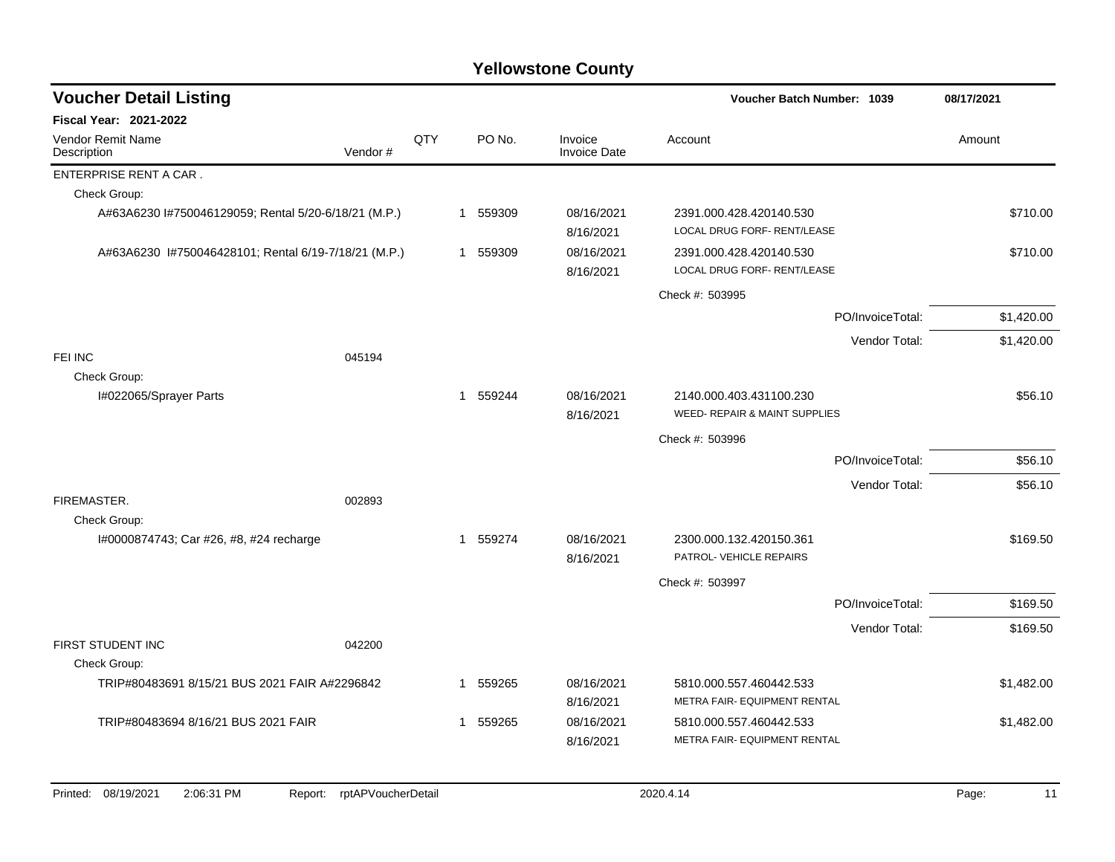| <b>Voucher Detail Listing</b>                        |         |     |   |          |                                | Voucher Batch Number: 1039                               |                  | 08/17/2021 |
|------------------------------------------------------|---------|-----|---|----------|--------------------------------|----------------------------------------------------------|------------------|------------|
| <b>Fiscal Year: 2021-2022</b>                        |         |     |   |          |                                |                                                          |                  |            |
| <b>Vendor Remit Name</b><br>Description              | Vendor# | QTY |   | PO No.   | Invoice<br><b>Invoice Date</b> | Account                                                  |                  | Amount     |
| ENTERPRISE RENT A CAR.                               |         |     |   |          |                                |                                                          |                  |            |
| Check Group:                                         |         |     |   |          |                                |                                                          |                  |            |
| A#63A6230 I#750046129059; Rental 5/20-6/18/21 (M.P.) |         |     |   | 1 559309 | 08/16/2021<br>8/16/2021        | 2391.000.428.420140.530<br>LOCAL DRUG FORF- RENT/LEASE   |                  | \$710.00   |
| A#63A6230 I#750046428101; Rental 6/19-7/18/21 (M.P.) |         |     |   | 1 559309 | 08/16/2021<br>8/16/2021        | 2391.000.428.420140.530<br>LOCAL DRUG FORF- RENT/LEASE   |                  | \$710.00   |
|                                                      |         |     |   |          |                                | Check #: 503995                                          |                  |            |
|                                                      |         |     |   |          |                                |                                                          | PO/InvoiceTotal: | \$1,420.00 |
|                                                      |         |     |   |          |                                |                                                          | Vendor Total:    | \$1,420.00 |
| FEI INC                                              | 045194  |     |   |          |                                |                                                          |                  |            |
| Check Group:                                         |         |     |   |          |                                |                                                          |                  |            |
| I#022065/Sprayer Parts                               |         |     |   | 1 559244 | 08/16/2021<br>8/16/2021        | 2140.000.403.431100.230<br>WEED- REPAIR & MAINT SUPPLIES |                  | \$56.10    |
|                                                      |         |     |   |          |                                | Check #: 503996                                          |                  |            |
|                                                      |         |     |   |          |                                |                                                          | PO/InvoiceTotal: | \$56.10    |
|                                                      |         |     |   |          |                                |                                                          | Vendor Total:    | \$56.10    |
| FIREMASTER.                                          | 002893  |     |   |          |                                |                                                          |                  |            |
| Check Group:                                         |         |     |   |          |                                |                                                          |                  |            |
| I#0000874743; Car #26, #8, #24 recharge              |         |     |   | 1 559274 | 08/16/2021<br>8/16/2021        | 2300.000.132.420150.361<br>PATROL- VEHICLE REPAIRS       |                  | \$169.50   |
|                                                      |         |     |   |          |                                | Check #: 503997                                          |                  |            |
|                                                      |         |     |   |          |                                |                                                          | PO/InvoiceTotal: | \$169.50   |
|                                                      |         |     |   |          |                                |                                                          | Vendor Total:    | \$169.50   |
| FIRST STUDENT INC<br>Check Group:                    | 042200  |     |   |          |                                |                                                          |                  |            |
| TRIP#80483691 8/15/21 BUS 2021 FAIR A#2296842        |         |     | 1 | 559265   | 08/16/2021<br>8/16/2021        | 5810.000.557.460442.533<br>METRA FAIR- EQUIPMENT RENTAL  |                  | \$1,482.00 |
| TRIP#80483694 8/16/21 BUS 2021 FAIR                  |         |     | 1 | 559265   | 08/16/2021                     | 5810.000.557.460442.533                                  |                  | \$1,482.00 |
|                                                      |         |     |   |          | 8/16/2021                      | METRA FAIR- EQUIPMENT RENTAL                             |                  |            |
|                                                      |         |     |   |          |                                |                                                          |                  |            |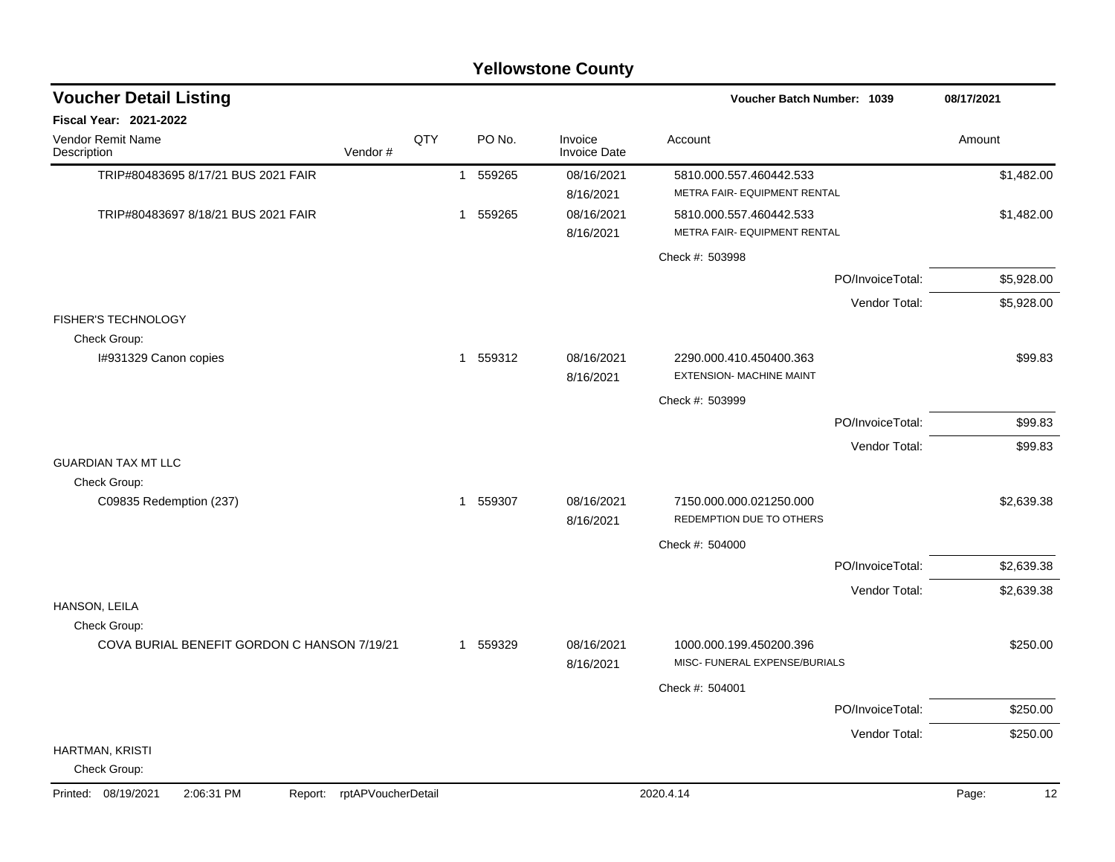|                                                             |                    |                |        | <b>Yellowstone County</b>      |                                                            |                  |             |
|-------------------------------------------------------------|--------------------|----------------|--------|--------------------------------|------------------------------------------------------------|------------------|-------------|
| <b>Voucher Detail Listing</b>                               |                    |                |        |                                | Voucher Batch Number: 1039                                 |                  | 08/17/2021  |
| <b>Fiscal Year: 2021-2022</b>                               |                    |                |        |                                |                                                            |                  |             |
| Vendor Remit Name<br>Description<br>Vendor#                 | QTY                |                | PO No. | Invoice<br><b>Invoice Date</b> | Account                                                    |                  | Amount      |
| TRIP#80483695 8/17/21 BUS 2021 FAIR                         |                    | $\overline{1}$ | 559265 | 08/16/2021<br>8/16/2021        | 5810.000.557.460442.533<br>METRA FAIR- EQUIPMENT RENTAL    |                  | \$1,482.00  |
| TRIP#80483697 8/18/21 BUS 2021 FAIR                         |                    | 1              | 559265 | 08/16/2021<br>8/16/2021        | 5810.000.557.460442.533<br>METRA FAIR- EQUIPMENT RENTAL    |                  | \$1,482.00  |
|                                                             |                    |                |        |                                | Check #: 503998                                            |                  |             |
|                                                             |                    |                |        |                                |                                                            | PO/InvoiceTotal: | \$5,928.00  |
|                                                             |                    |                |        |                                |                                                            | Vendor Total:    | \$5,928.00  |
| <b>FISHER'S TECHNOLOGY</b>                                  |                    |                |        |                                |                                                            |                  |             |
| Check Group:<br>I#931329 Canon copies                       |                    | $\overline{1}$ | 559312 | 08/16/2021<br>8/16/2021        | 2290.000.410.450400.363<br><b>EXTENSION- MACHINE MAINT</b> |                  | \$99.83     |
|                                                             |                    |                |        |                                | Check #: 503999                                            |                  |             |
|                                                             |                    |                |        |                                |                                                            | PO/InvoiceTotal: | \$99.83     |
|                                                             |                    |                |        |                                |                                                            | Vendor Total:    | \$99.83     |
| <b>GUARDIAN TAX MT LLC</b><br>Check Group:                  |                    |                |        |                                |                                                            |                  |             |
| C09835 Redemption (237)                                     |                    | 1              | 559307 | 08/16/2021<br>8/16/2021        | 7150.000.000.021250.000<br>REDEMPTION DUE TO OTHERS        |                  | \$2,639.38  |
|                                                             |                    |                |        |                                | Check #: 504000                                            |                  |             |
|                                                             |                    |                |        |                                |                                                            | PO/InvoiceTotal: | \$2,639.38  |
|                                                             |                    |                |        |                                |                                                            | Vendor Total:    | \$2,639.38  |
| HANSON, LEILA                                               |                    |                |        |                                |                                                            |                  |             |
| Check Group:<br>COVA BURIAL BENEFIT GORDON C HANSON 7/19/21 |                    | -1             | 559329 | 08/16/2021<br>8/16/2021        | 1000.000.199.450200.396<br>MISC- FUNERAL EXPENSE/BURIALS   |                  | \$250.00    |
|                                                             |                    |                |        |                                | Check #: 504001                                            |                  |             |
|                                                             |                    |                |        |                                |                                                            | PO/InvoiceTotal: | \$250.00    |
|                                                             |                    |                |        |                                |                                                            | Vendor Total:    | \$250.00    |
| HARTMAN, KRISTI<br>Check Group:                             |                    |                |        |                                |                                                            |                  |             |
| Printed: 08/19/2021<br>2:06:31 PM<br>Report:                | rptAPVoucherDetail |                |        |                                | 2020.4.14                                                  |                  | Page:<br>12 |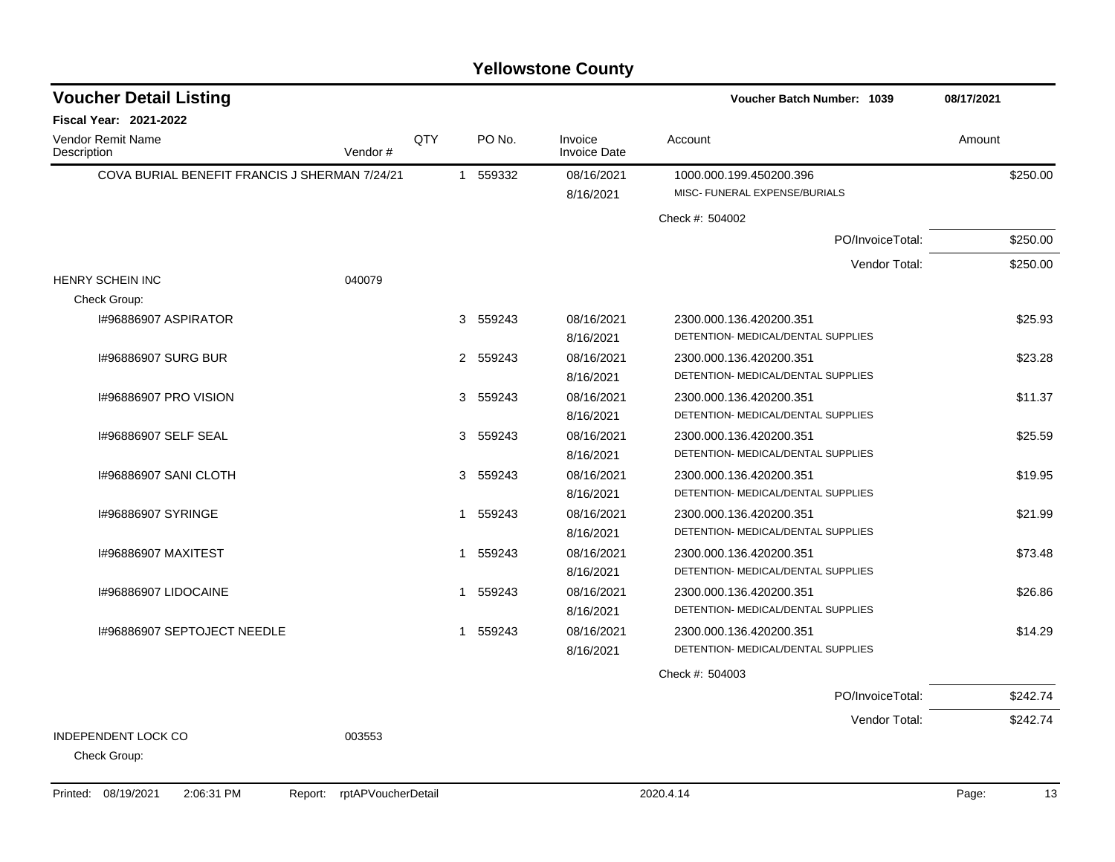| <b>Voucher Detail Listing</b>                 |         |     |             |                                | Voucher Batch Number: 1039                               | 08/17/2021 |
|-----------------------------------------------|---------|-----|-------------|--------------------------------|----------------------------------------------------------|------------|
| <b>Fiscal Year: 2021-2022</b>                 |         |     |             |                                |                                                          |            |
| Vendor Remit Name<br>Description              | Vendor# | QTY | PO No.      | Invoice<br><b>Invoice Date</b> | Account                                                  | Amount     |
| COVA BURIAL BENEFIT FRANCIS J SHERMAN 7/24/21 |         |     | 1 559332    | 08/16/2021<br>8/16/2021        | 1000.000.199.450200.396<br>MISC- FUNERAL EXPENSE/BURIALS | \$250.00   |
|                                               |         |     |             |                                | Check #: 504002                                          |            |
|                                               |         |     |             |                                | PO/InvoiceTotal:                                         | \$250.00   |
|                                               |         |     |             |                                | Vendor Total:                                            | \$250.00   |
| HENRY SCHEIN INC                              | 040079  |     |             |                                |                                                          |            |
| Check Group:                                  |         |     |             |                                |                                                          |            |
| I#96886907 ASPIRATOR                          |         |     | 3 559243    | 08/16/2021                     | 2300.000.136.420200.351                                  | \$25.93    |
|                                               |         |     |             | 8/16/2021                      | DETENTION- MEDICAL/DENTAL SUPPLIES                       |            |
| 1#96886907 SURG BUR                           |         |     | 2 559243    | 08/16/2021                     | 2300.000.136.420200.351                                  | \$23.28    |
|                                               |         |     |             | 8/16/2021                      | DETENTION- MEDICAL/DENTAL SUPPLIES                       |            |
| 1#96886907 PRO VISION                         |         |     | 3 559243    | 08/16/2021                     | 2300.000.136.420200.351                                  | \$11.37    |
|                                               |         |     |             | 8/16/2021                      | DETENTION- MEDICAL/DENTAL SUPPLIES                       |            |
| 1#96886907 SELF SEAL                          |         |     | 3 559243    | 08/16/2021                     | 2300.000.136.420200.351                                  | \$25.59    |
|                                               |         |     |             | 8/16/2021                      | DETENTION- MEDICAL/DENTAL SUPPLIES                       |            |
| 1#96886907 SANI CLOTH                         |         |     | 3<br>559243 | 08/16/2021                     | 2300.000.136.420200.351                                  | \$19.95    |
|                                               |         |     |             | 8/16/2021                      | DETENTION- MEDICAL/DENTAL SUPPLIES                       |            |
| 1#96886907 SYRINGE                            |         |     | 559243<br>1 | 08/16/2021                     | 2300.000.136.420200.351                                  | \$21.99    |
|                                               |         |     |             | 8/16/2021                      | DETENTION- MEDICAL/DENTAL SUPPLIES                       |            |
| 1#96886907 MAXITEST                           |         |     | 559243<br>1 | 08/16/2021                     | 2300.000.136.420200.351                                  | \$73.48    |
|                                               |         |     |             | 8/16/2021                      | DETENTION- MEDICAL/DENTAL SUPPLIES                       |            |
| I#96886907 LIDOCAINE                          |         |     | 1 559243    | 08/16/2021                     | 2300.000.136.420200.351                                  | \$26.86    |
|                                               |         |     |             | 8/16/2021                      | DETENTION- MEDICAL/DENTAL SUPPLIES                       |            |
| I#96886907 SEPTOJECT NEEDLE                   |         |     | 1 559243    | 08/16/2021                     | 2300.000.136.420200.351                                  | \$14.29    |
|                                               |         |     |             | 8/16/2021                      | DETENTION- MEDICAL/DENTAL SUPPLIES                       |            |
|                                               |         |     |             |                                | Check #: 504003                                          |            |
|                                               |         |     |             |                                | PO/InvoiceTotal:                                         | \$242.74   |
|                                               |         |     |             |                                | Vendor Total:                                            | \$242.74   |
| <b>INDEPENDENT LOCK CO</b>                    | 003553  |     |             |                                |                                                          |            |
| Check Group:                                  |         |     |             |                                |                                                          |            |
|                                               |         |     |             |                                |                                                          |            |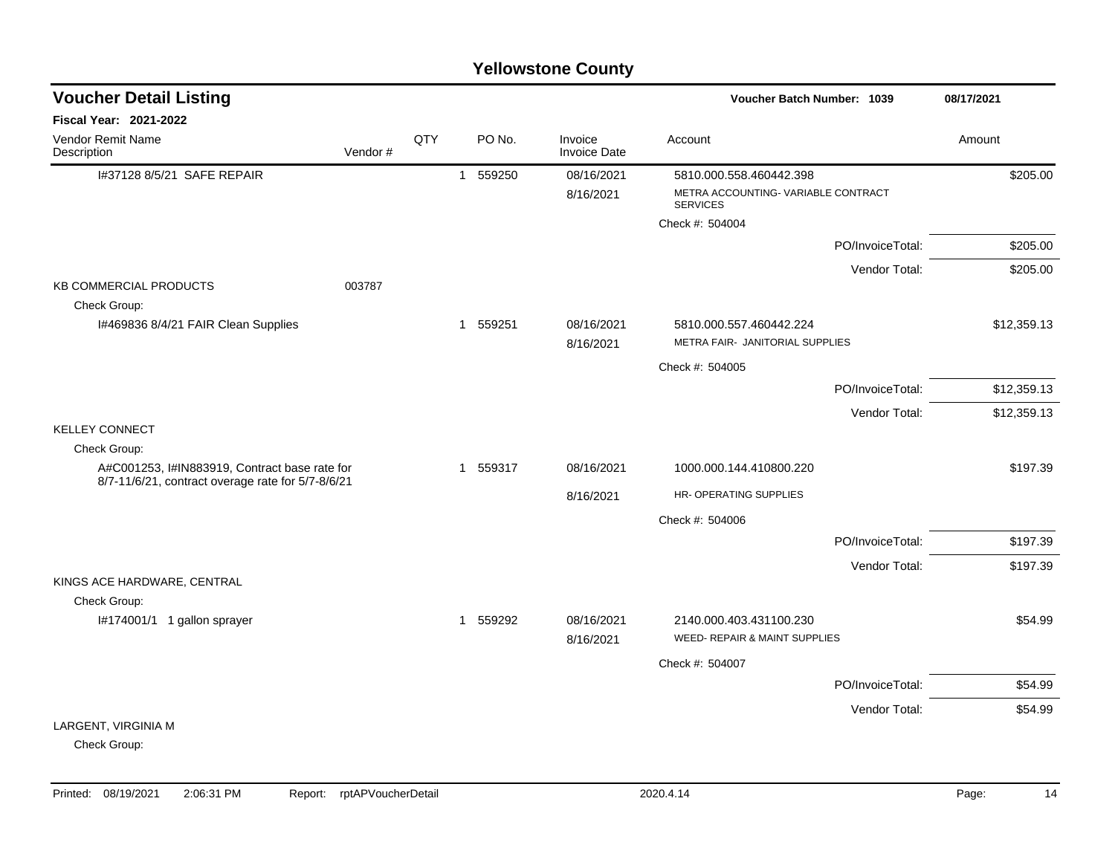| <b>Voucher Detail Listing</b>                                 |         |     | 08/17/2021   |          |                                |                                                                                  |                  |             |
|---------------------------------------------------------------|---------|-----|--------------|----------|--------------------------------|----------------------------------------------------------------------------------|------------------|-------------|
| Fiscal Year: 2021-2022                                        |         |     |              |          |                                |                                                                                  |                  |             |
| Vendor Remit Name<br>Description                              | Vendor# | QTY |              | PO No.   | Invoice<br><b>Invoice Date</b> | Account                                                                          |                  | Amount      |
| I#37128 8/5/21 SAFE REPAIR                                    |         |     | $\mathbf{1}$ | 559250   | 08/16/2021<br>8/16/2021        | 5810.000.558.460442.398<br>METRA ACCOUNTING-VARIABLE CONTRACT<br><b>SERVICES</b> |                  | \$205.00    |
|                                                               |         |     |              |          |                                | Check #: 504004                                                                  |                  |             |
|                                                               |         |     |              |          |                                |                                                                                  | PO/InvoiceTotal: | \$205.00    |
| <b>KB COMMERCIAL PRODUCTS</b><br>Check Group:                 | 003787  |     |              |          |                                |                                                                                  | Vendor Total:    | \$205.00    |
| I#469836 8/4/21 FAIR Clean Supplies                           |         |     |              | 1 559251 | 08/16/2021<br>8/16/2021        | 5810.000.557.460442.224<br>METRA FAIR- JANITORIAL SUPPLIES                       |                  | \$12,359.13 |
|                                                               |         |     |              |          |                                | Check #: 504005                                                                  |                  |             |
|                                                               |         |     |              |          |                                |                                                                                  | PO/InvoiceTotal: | \$12,359.13 |
|                                                               |         |     |              |          |                                |                                                                                  | Vendor Total:    | \$12,359.13 |
| <b>KELLEY CONNECT</b>                                         |         |     |              |          |                                |                                                                                  |                  |             |
| Check Group:<br>A#C001253, I#IN883919, Contract base rate for |         |     |              | 1 559317 | 08/16/2021                     | 1000.000.144.410800.220                                                          |                  | \$197.39    |
| 8/7-11/6/21, contract overage rate for 5/7-8/6/21             |         |     |              |          | 8/16/2021                      | HR- OPERATING SUPPLIES                                                           |                  |             |
|                                                               |         |     |              |          |                                | Check #: 504006                                                                  |                  |             |
|                                                               |         |     |              |          |                                |                                                                                  | PO/InvoiceTotal: | \$197.39    |
|                                                               |         |     |              |          |                                |                                                                                  |                  |             |
| KINGS ACE HARDWARE, CENTRAL<br>Check Group:                   |         |     |              |          |                                |                                                                                  | Vendor Total:    | \$197.39    |
| I#174001/1 1 gallon sprayer                                   |         |     | 1            | 559292   | 08/16/2021<br>8/16/2021        | 2140.000.403.431100.230<br>WEED- REPAIR & MAINT SUPPLIES                         |                  | \$54.99     |
|                                                               |         |     |              |          |                                | Check #: 504007                                                                  |                  |             |
|                                                               |         |     |              |          |                                |                                                                                  | PO/InvoiceTotal: | \$54.99     |
|                                                               |         |     |              |          |                                |                                                                                  | Vendor Total:    | \$54.99     |
| LARGENT, VIRGINIA M                                           |         |     |              |          |                                |                                                                                  |                  |             |
| Check Group:                                                  |         |     |              |          |                                |                                                                                  |                  |             |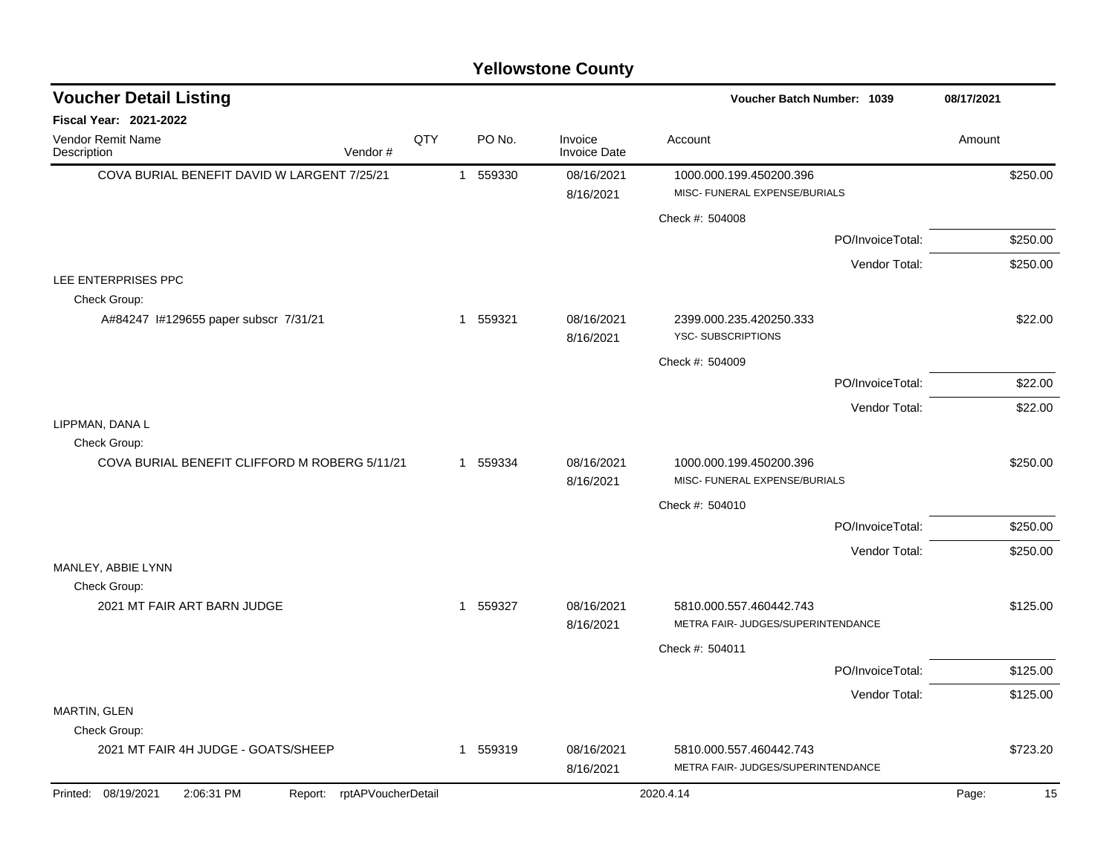| <b>Voucher Detail Listing</b>                                      |     |          |                                | Voucher Batch Number: 1039                                    |                  | 08/17/2021  |
|--------------------------------------------------------------------|-----|----------|--------------------------------|---------------------------------------------------------------|------------------|-------------|
| Fiscal Year: 2021-2022                                             |     |          |                                |                                                               |                  |             |
| Vendor Remit Name<br>Vendor#<br>Description                        | QTY | PO No.   | Invoice<br><b>Invoice Date</b> | Account                                                       |                  | Amount      |
| COVA BURIAL BENEFIT DAVID W LARGENT 7/25/21                        |     | 1 559330 | 08/16/2021<br>8/16/2021        | 1000.000.199.450200.396<br>MISC- FUNERAL EXPENSE/BURIALS      |                  | \$250.00    |
|                                                                    |     |          |                                | Check #: 504008                                               |                  |             |
|                                                                    |     |          |                                |                                                               | PO/InvoiceTotal: | \$250.00    |
|                                                                    |     |          |                                |                                                               | Vendor Total:    | \$250.00    |
| LEE ENTERPRISES PPC<br>Check Group:                                |     |          |                                |                                                               |                  |             |
| A#84247 1#129655 paper subscr 7/31/21                              |     | 1 559321 | 08/16/2021<br>8/16/2021        | 2399.000.235.420250.333<br>YSC-SUBSCRIPTIONS                  |                  | \$22.00     |
|                                                                    |     |          |                                | Check #: 504009                                               |                  |             |
|                                                                    |     |          |                                |                                                               | PO/InvoiceTotal: | \$22.00     |
|                                                                    |     |          |                                |                                                               | Vendor Total:    | \$22.00     |
| LIPPMAN, DANA L<br>Check Group:                                    |     |          |                                |                                                               |                  |             |
| COVA BURIAL BENEFIT CLIFFORD M ROBERG 5/11/21                      |     | 1 559334 | 08/16/2021<br>8/16/2021        | 1000.000.199.450200.396<br>MISC- FUNERAL EXPENSE/BURIALS      |                  | \$250.00    |
|                                                                    |     |          |                                | Check #: 504010                                               |                  |             |
|                                                                    |     |          |                                |                                                               | PO/InvoiceTotal: | \$250.00    |
|                                                                    |     |          |                                |                                                               | Vendor Total:    | \$250.00    |
| MANLEY, ABBIE LYNN                                                 |     |          |                                |                                                               |                  |             |
| Check Group:<br>2021 MT FAIR ART BARN JUDGE                        |     | 1 559327 | 08/16/2021<br>8/16/2021        | 5810.000.557.460442.743<br>METRA FAIR- JUDGES/SUPERINTENDANCE |                  | \$125.00    |
|                                                                    |     |          |                                | Check #: 504011                                               |                  |             |
|                                                                    |     |          |                                |                                                               | PO/InvoiceTotal: | \$125.00    |
|                                                                    |     |          |                                |                                                               | Vendor Total:    | \$125.00    |
| MARTIN, GLEN                                                       |     |          |                                |                                                               |                  |             |
| Check Group:                                                       |     |          |                                |                                                               |                  |             |
| 2021 MT FAIR 4H JUDGE - GOATS/SHEEP                                |     | 1 559319 | 08/16/2021<br>8/16/2021        | 5810.000.557.460442.743<br>METRA FAIR- JUDGES/SUPERINTENDANCE |                  | \$723.20    |
| Printed: 08/19/2021<br>rptAPVoucherDetail<br>2:06:31 PM<br>Report: |     |          |                                | 2020.4.14                                                     |                  | 15<br>Page: |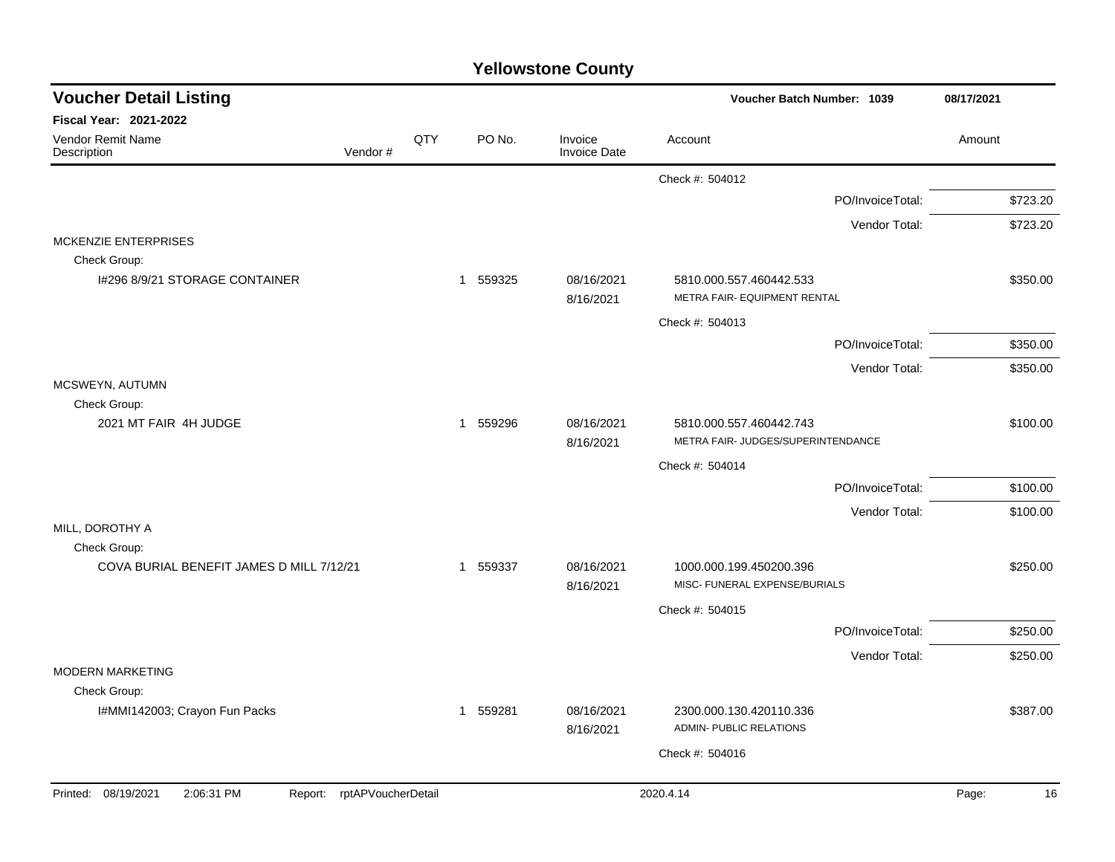| <b>Voucher Detail Listing</b>                                   |         |     |          |                                | Voucher Batch Number: 1039                                    |                  | 08/17/2021  |
|-----------------------------------------------------------------|---------|-----|----------|--------------------------------|---------------------------------------------------------------|------------------|-------------|
| Fiscal Year: 2021-2022                                          |         |     |          |                                |                                                               |                  |             |
| Vendor Remit Name<br>Description                                | Vendor# | QTY | PO No.   | Invoice<br><b>Invoice Date</b> | Account                                                       |                  | Amount      |
|                                                                 |         |     |          |                                | Check #: 504012                                               |                  |             |
|                                                                 |         |     |          |                                |                                                               | PO/InvoiceTotal: | \$723.20    |
|                                                                 |         |     |          |                                |                                                               | Vendor Total:    | \$723.20    |
| <b>MCKENZIE ENTERPRISES</b>                                     |         |     |          |                                |                                                               |                  |             |
| Check Group:<br>1#296 8/9/21 STORAGE CONTAINER                  |         |     | 1 559325 | 08/16/2021<br>8/16/2021        | 5810.000.557.460442.533<br>METRA FAIR- EQUIPMENT RENTAL       |                  | \$350.00    |
|                                                                 |         |     |          |                                | Check #: 504013                                               |                  |             |
|                                                                 |         |     |          |                                |                                                               | PO/InvoiceTotal: | \$350.00    |
|                                                                 |         |     |          |                                |                                                               | Vendor Total:    | \$350.00    |
| MCSWEYN, AUTUMN                                                 |         |     |          |                                |                                                               |                  |             |
| Check Group:<br>2021 MT FAIR 4H JUDGE                           |         |     | 1 559296 | 08/16/2021<br>8/16/2021        | 5810.000.557.460442.743<br>METRA FAIR- JUDGES/SUPERINTENDANCE |                  | \$100.00    |
|                                                                 |         |     |          |                                | Check #: 504014                                               |                  |             |
|                                                                 |         |     |          |                                |                                                               | PO/InvoiceTotal: | \$100.00    |
|                                                                 |         |     |          |                                |                                                               | Vendor Total:    | \$100.00    |
| MILL, DOROTHY A<br>Check Group:                                 |         |     |          |                                |                                                               |                  |             |
| COVA BURIAL BENEFIT JAMES D MILL 7/12/21                        |         |     | 1 559337 | 08/16/2021<br>8/16/2021        | 1000.000.199.450200.396<br>MISC- FUNERAL EXPENSE/BURIALS      |                  | \$250.00    |
|                                                                 |         |     |          |                                | Check #: 504015                                               |                  |             |
|                                                                 |         |     |          |                                |                                                               | PO/InvoiceTotal: | \$250.00    |
|                                                                 |         |     |          |                                |                                                               | Vendor Total:    | \$250.00    |
| <b>MODERN MARKETING</b><br>Check Group:                         |         |     |          |                                |                                                               |                  |             |
| I#MMI142003; Crayon Fun Packs                                   |         |     | 1 559281 | 08/16/2021<br>8/16/2021        | 2300.000.130.420110.336<br>ADMIN- PUBLIC RELATIONS            |                  | \$387.00    |
|                                                                 |         |     |          |                                | Check #: 504016                                               |                  |             |
|                                                                 |         |     |          |                                |                                                               |                  |             |
| Printed: 08/19/2021<br>Report: rptAPVoucherDetail<br>2:06:31 PM |         |     |          |                                | 2020.4.14                                                     |                  | Page:<br>16 |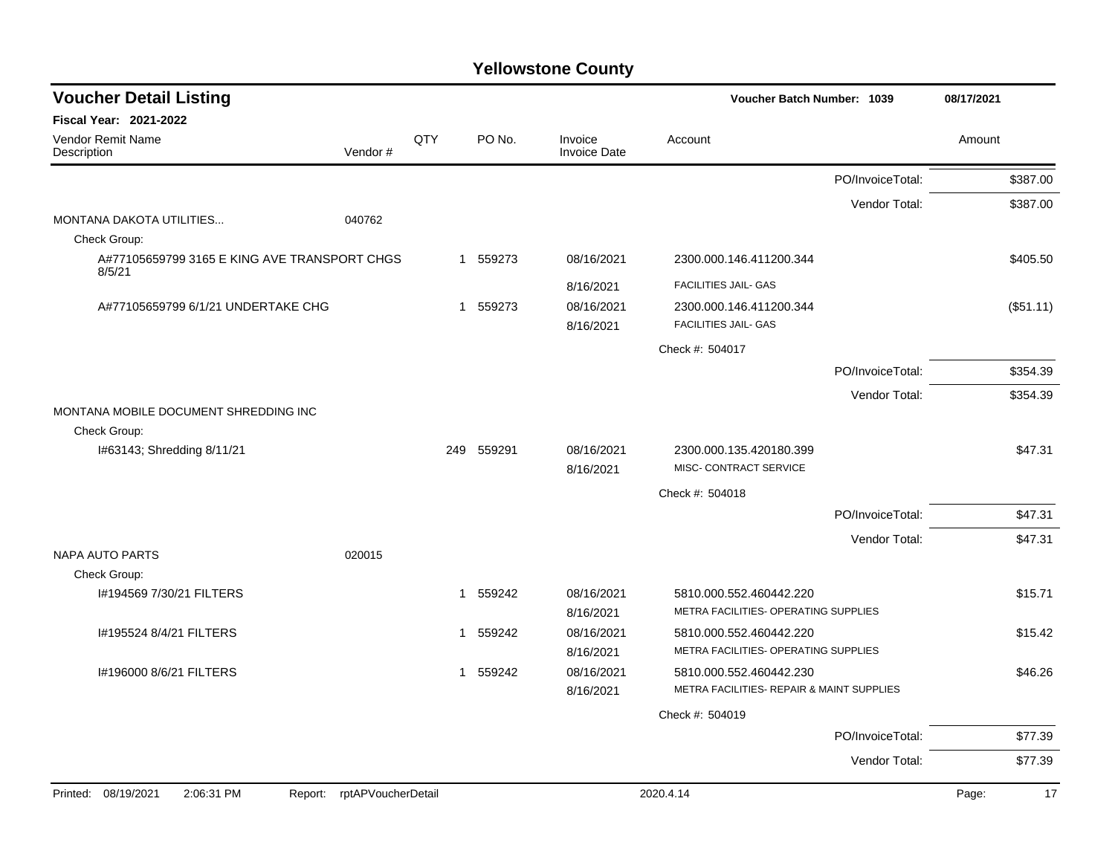| <b>Voucher Detail Listing</b>                          |                               |     |            |                                | Voucher Batch Number: 1039                           |                  | 08/17/2021  |
|--------------------------------------------------------|-------------------------------|-----|------------|--------------------------------|------------------------------------------------------|------------------|-------------|
| <b>Fiscal Year: 2021-2022</b>                          |                               |     |            |                                |                                                      |                  |             |
| Vendor Remit Name<br>Description                       | Vendor #                      | QTY | PO No.     | Invoice<br><b>Invoice Date</b> | Account                                              |                  | Amount      |
|                                                        |                               |     |            |                                |                                                      | PO/InvoiceTotal: | \$387.00    |
|                                                        |                               |     |            |                                |                                                      | Vendor Total:    | \$387.00    |
| MONTANA DAKOTA UTILITIES                               | 040762                        |     |            |                                |                                                      |                  |             |
| Check Group:                                           |                               |     |            |                                |                                                      |                  |             |
| A#77105659799 3165 E KING AVE TRANSPORT CHGS<br>8/5/21 |                               |     | 1 559273   | 08/16/2021                     | 2300.000.146.411200.344                              |                  | \$405.50    |
|                                                        |                               |     |            | 8/16/2021                      | FACILITIES JAIL- GAS                                 |                  |             |
| A#77105659799 6/1/21 UNDERTAKE CHG                     |                               |     | 1 559273   | 08/16/2021                     | 2300.000.146.411200.344                              |                  | (\$51.11)   |
|                                                        |                               |     |            | 8/16/2021                      | <b>FACILITIES JAIL- GAS</b>                          |                  |             |
|                                                        |                               |     |            |                                | Check #: 504017                                      |                  |             |
|                                                        |                               |     |            |                                |                                                      | PO/InvoiceTotal: | \$354.39    |
|                                                        |                               |     |            |                                |                                                      | Vendor Total:    | \$354.39    |
| MONTANA MOBILE DOCUMENT SHREDDING INC                  |                               |     |            |                                |                                                      |                  |             |
| Check Group:                                           |                               |     |            |                                |                                                      |                  |             |
| I#63143; Shredding 8/11/21                             |                               |     | 249 559291 | 08/16/2021                     | 2300.000.135.420180.399                              |                  | \$47.31     |
|                                                        |                               |     |            | 8/16/2021                      | MISC- CONTRACT SERVICE                               |                  |             |
|                                                        |                               |     |            |                                | Check #: 504018                                      |                  |             |
|                                                        |                               |     |            |                                |                                                      | PO/InvoiceTotal: | \$47.31     |
|                                                        |                               |     |            |                                |                                                      | Vendor Total:    | \$47.31     |
| <b>NAPA AUTO PARTS</b><br>Check Group:                 | 020015                        |     |            |                                |                                                      |                  |             |
| #194569 7/30/21 FILTERS                                |                               |     | 1 559242   | 08/16/2021                     | 5810.000.552.460442.220                              |                  | \$15.71     |
|                                                        |                               |     |            | 8/16/2021                      | METRA FACILITIES- OPERATING SUPPLIES                 |                  |             |
| I#195524 8/4/21 FILTERS                                |                               |     | 1 559242   | 08/16/2021                     | 5810.000.552.460442.220                              |                  | \$15.42     |
|                                                        |                               |     |            | 8/16/2021                      | METRA FACILITIES- OPERATING SUPPLIES                 |                  |             |
| I#196000 8/6/21 FILTERS                                |                               |     | 1 559242   | 08/16/2021                     | 5810.000.552.460442.230                              |                  | \$46.26     |
|                                                        |                               |     |            | 8/16/2021                      | <b>METRA FACILITIES- REPAIR &amp; MAINT SUPPLIES</b> |                  |             |
|                                                        |                               |     |            |                                | Check #: 504019                                      |                  |             |
|                                                        |                               |     |            |                                |                                                      | PO/InvoiceTotal: | \$77.39     |
|                                                        |                               |     |            |                                |                                                      |                  |             |
|                                                        |                               |     |            |                                |                                                      | Vendor Total:    | \$77.39     |
| 08/19/2021<br>2:06:31 PM<br>Printed:                   | Report:<br>rptAPVoucherDetail |     |            |                                | 2020.4.14                                            |                  | Page:<br>17 |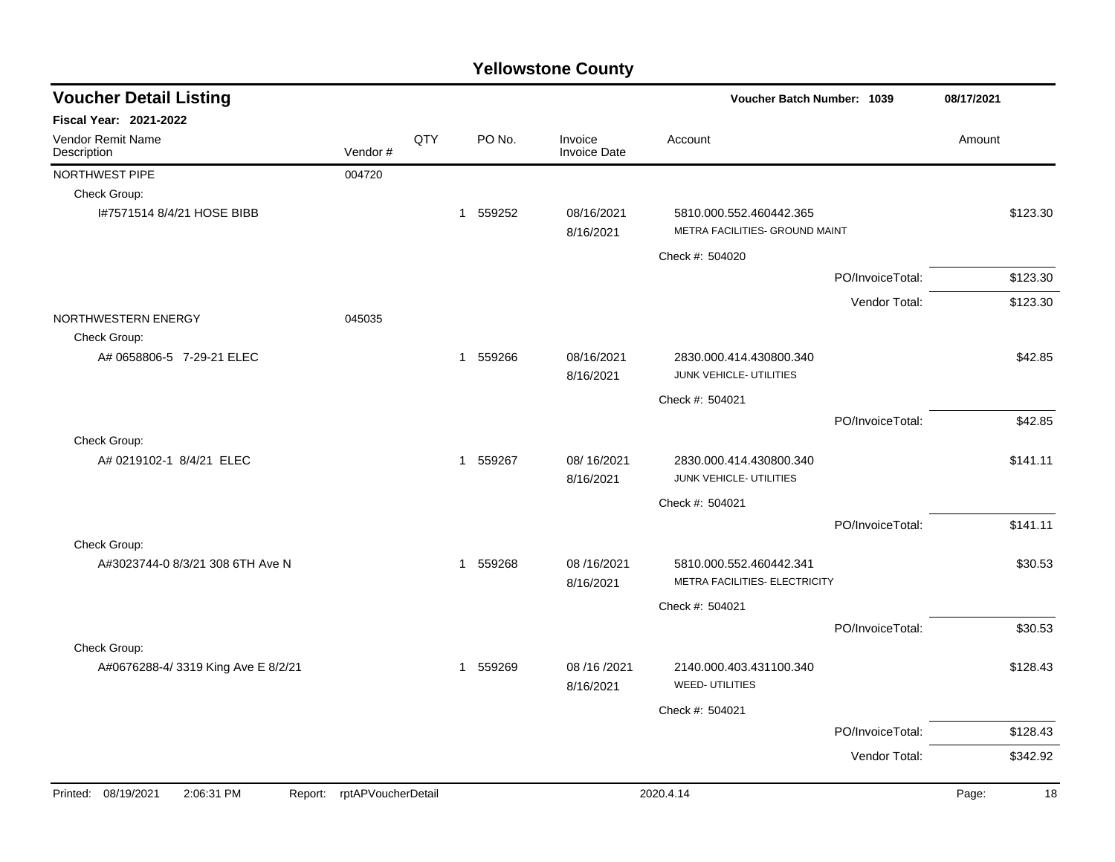| <b>Voucher Detail Listing</b>                |                    |     |             |                                | Voucher Batch Number: 1039                                |                  | 08/17/2021  |
|----------------------------------------------|--------------------|-----|-------------|--------------------------------|-----------------------------------------------------------|------------------|-------------|
| Fiscal Year: 2021-2022                       |                    |     |             |                                |                                                           |                  |             |
| Vendor Remit Name<br>Description             | Vendor#            | QTY | PO No.      | Invoice<br><b>Invoice Date</b> | Account                                                   |                  | Amount      |
| NORTHWEST PIPE                               | 004720             |     |             |                                |                                                           |                  |             |
| Check Group:                                 |                    |     |             |                                |                                                           |                  |             |
| I#7571514 8/4/21 HOSE BIBB                   |                    |     | 1 559252    | 08/16/2021<br>8/16/2021        | 5810.000.552.460442.365<br>METRA FACILITIES- GROUND MAINT |                  | \$123.30    |
|                                              |                    |     |             |                                | Check #: 504020                                           |                  |             |
|                                              |                    |     |             |                                |                                                           | PO/InvoiceTotal: | \$123.30    |
|                                              |                    |     |             |                                |                                                           | Vendor Total:    | \$123.30    |
| NORTHWESTERN ENERGY<br>Check Group:          | 045035             |     |             |                                |                                                           |                  |             |
| A# 0658806-5 7-29-21 ELEC                    |                    |     | 1 559266    | 08/16/2021<br>8/16/2021        | 2830.000.414.430800.340<br>JUNK VEHICLE- UTILITIES        |                  | \$42.85     |
|                                              |                    |     |             |                                | Check #: 504021                                           |                  |             |
|                                              |                    |     |             |                                |                                                           | PO/InvoiceTotal: | \$42.85     |
| Check Group:                                 |                    |     |             |                                |                                                           |                  |             |
| A# 0219102-1 8/4/21 ELEC                     |                    |     | 1 559267    | 08/16/2021<br>8/16/2021        | 2830.000.414.430800.340<br>JUNK VEHICLE- UTILITIES        |                  | \$141.11    |
|                                              |                    |     |             |                                | Check #: 504021                                           |                  |             |
|                                              |                    |     |             |                                |                                                           | PO/InvoiceTotal: | \$141.11    |
| Check Group:                                 |                    |     |             |                                |                                                           |                  |             |
| A#3023744-0 8/3/21 308 6TH Ave N             |                    |     | 559268<br>1 | 08/16/2021<br>8/16/2021        | 5810.000.552.460442.341<br>METRA FACILITIES- ELECTRICITY  |                  | \$30.53     |
|                                              |                    |     |             |                                | Check #: 504021                                           |                  |             |
|                                              |                    |     |             |                                |                                                           | PO/InvoiceTotal: | \$30.53     |
| Check Group:                                 |                    |     |             |                                |                                                           |                  |             |
| A#0676288-4/3319 King Ave E 8/2/21           |                    |     | 1 559269    | 08 / 16 / 2021<br>8/16/2021    | 2140.000.403.431100.340<br><b>WEED- UTILITIES</b>         |                  | \$128.43    |
|                                              |                    |     |             |                                | Check #: 504021                                           |                  |             |
|                                              |                    |     |             |                                |                                                           | PO/InvoiceTotal: | \$128.43    |
|                                              |                    |     |             |                                |                                                           | Vendor Total:    | \$342.92    |
|                                              |                    |     |             |                                |                                                           |                  |             |
| Printed: 08/19/2021<br>2:06:31 PM<br>Report: | rptAPVoucherDetail |     |             |                                | 2020.4.14                                                 |                  | 18<br>Page: |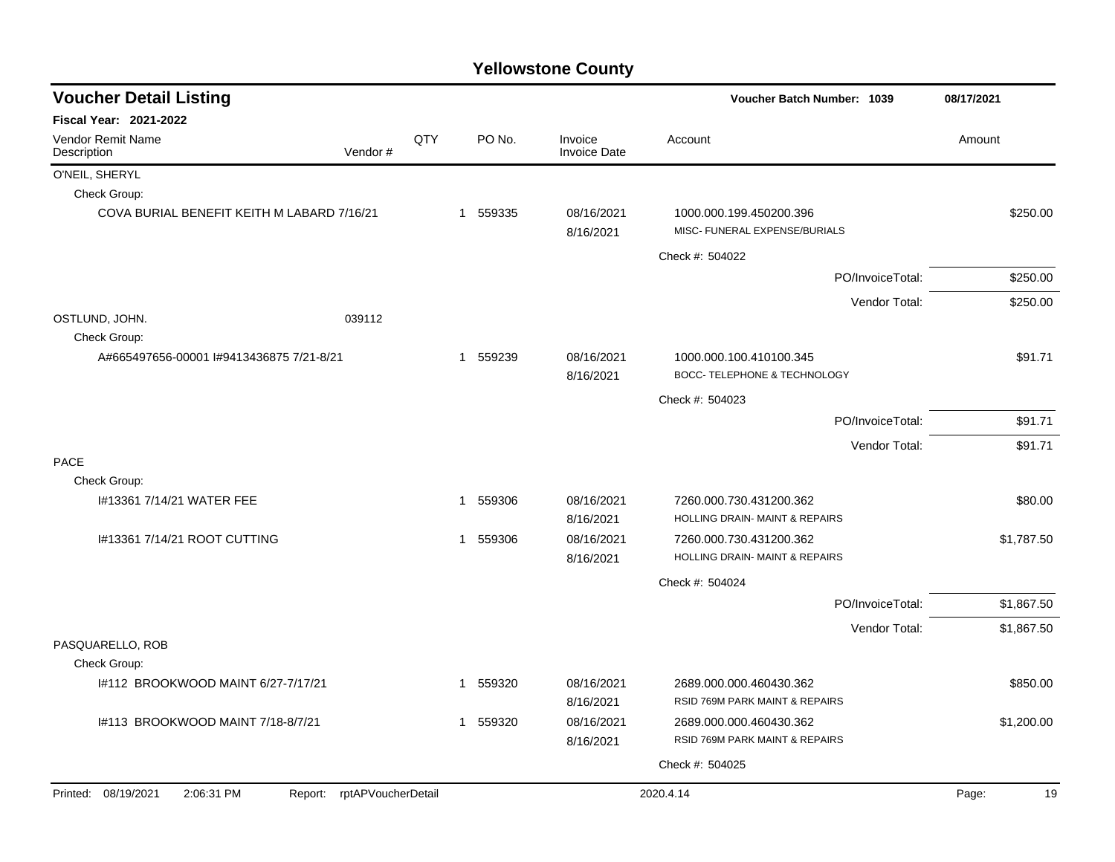| <b>Voucher Detail Listing</b>              |                            |     |              |                                | Voucher Batch Number: 1039                                | 08/17/2021  |
|--------------------------------------------|----------------------------|-----|--------------|--------------------------------|-----------------------------------------------------------|-------------|
| Fiscal Year: 2021-2022                     |                            |     |              |                                |                                                           |             |
| <b>Vendor Remit Name</b><br>Description    | Vendor#                    | QTY | PO No.       | Invoice<br><b>Invoice Date</b> | Account                                                   | Amount      |
| O'NEIL, SHERYL                             |                            |     |              |                                |                                                           |             |
| Check Group:                               |                            |     |              |                                |                                                           |             |
| COVA BURIAL BENEFIT KEITH M LABARD 7/16/21 |                            |     | 1 559335     | 08/16/2021<br>8/16/2021        | 1000.000.199.450200.396<br>MISC- FUNERAL EXPENSE/BURIALS  | \$250.00    |
|                                            |                            |     |              |                                | Check #: 504022                                           |             |
|                                            |                            |     |              |                                | PO/InvoiceTotal:                                          | \$250.00    |
|                                            |                            |     |              |                                | Vendor Total:                                             | \$250.00    |
| OSTLUND, JOHN.                             | 039112                     |     |              |                                |                                                           |             |
| Check Group:                               |                            |     |              |                                |                                                           |             |
| A#665497656-00001 I#9413436875 7/21-8/21   |                            |     | 1 559239     | 08/16/2021<br>8/16/2021        | 1000.000.100.410100.345<br>BOCC- TELEPHONE & TECHNOLOGY   | \$91.71     |
|                                            |                            |     |              |                                | Check #: 504023                                           |             |
|                                            |                            |     |              |                                | PO/InvoiceTotal:                                          | \$91.71     |
|                                            |                            |     |              |                                | Vendor Total:                                             | \$91.71     |
| PACE                                       |                            |     |              |                                |                                                           |             |
| Check Group:                               |                            |     |              |                                |                                                           |             |
| I#13361 7/14/21 WATER FEE                  |                            |     | 559306<br>1  | 08/16/2021                     | 7260.000.730.431200.362                                   | \$80.00     |
|                                            |                            |     |              | 8/16/2021                      | HOLLING DRAIN- MAINT & REPAIRS                            |             |
| 1#13361 7/14/21 ROOT CUTTING               |                            |     | 559306<br>1  | 08/16/2021<br>8/16/2021        | 7260.000.730.431200.362<br>HOLLING DRAIN- MAINT & REPAIRS | \$1,787.50  |
|                                            |                            |     |              |                                |                                                           |             |
|                                            |                            |     |              |                                | Check #: 504024                                           |             |
|                                            |                            |     |              |                                | PO/InvoiceTotal:                                          | \$1,867.50  |
| PASQUARELLO, ROB                           |                            |     |              |                                | Vendor Total:                                             | \$1,867.50  |
| Check Group:                               |                            |     |              |                                |                                                           |             |
| 1#112 BROOKWOOD MAINT 6/27-7/17/21         |                            |     | 559320<br>1  | 08/16/2021<br>8/16/2021        | 2689.000.000.460430.362<br>RSID 769M PARK MAINT & REPAIRS | \$850.00    |
| I#113 BROOKWOOD MAINT 7/18-8/7/21          |                            |     | 559320<br>-1 | 08/16/2021<br>8/16/2021        | 2689.000.000.460430.362<br>RSID 769M PARK MAINT & REPAIRS | \$1,200.00  |
|                                            |                            |     |              |                                | Check #: 504025                                           |             |
|                                            |                            |     |              |                                |                                                           |             |
| Printed: 08/19/2021<br>2:06:31 PM          | Report: rptAPVoucherDetail |     |              |                                | 2020.4.14                                                 | Page:<br>19 |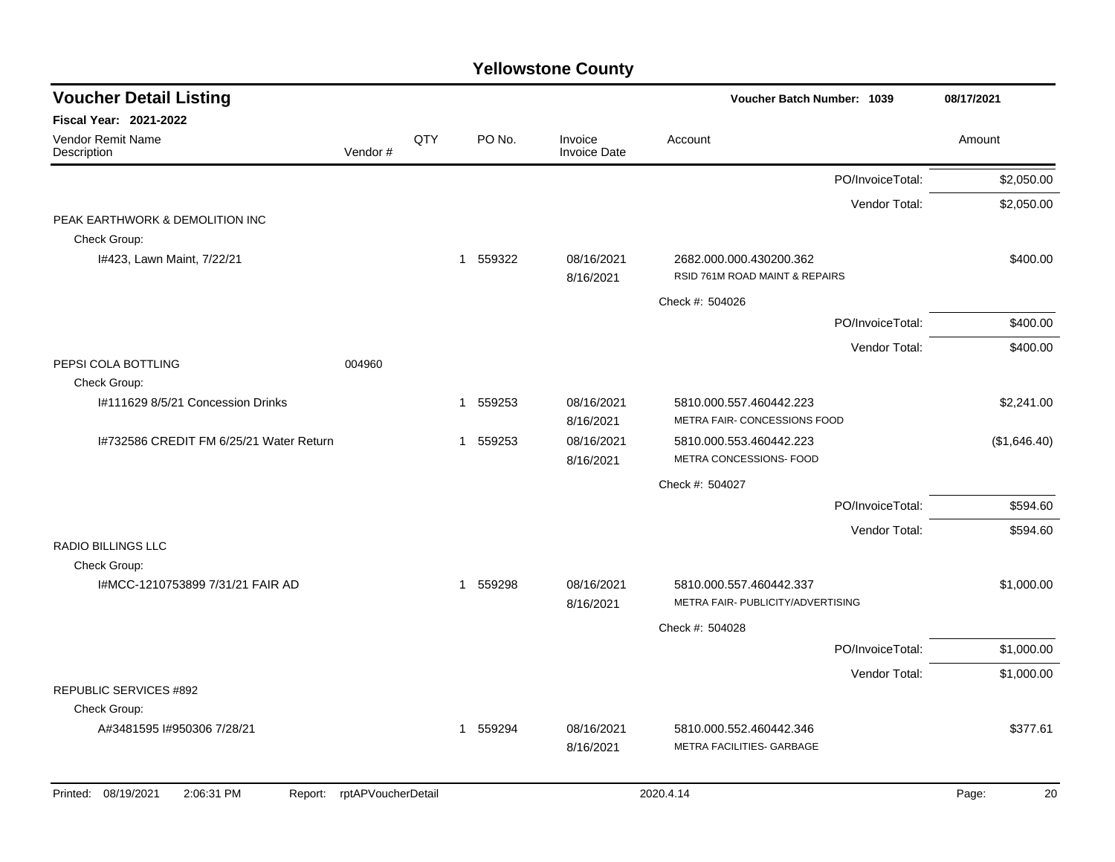| <b>Voucher Detail Listing</b>                   |                    |     |          |                                | Voucher Batch Number: 1039                                   |                  | 08/17/2021   |
|-------------------------------------------------|--------------------|-----|----------|--------------------------------|--------------------------------------------------------------|------------------|--------------|
| Fiscal Year: 2021-2022                          |                    |     |          |                                |                                                              |                  |              |
| Vendor Remit Name<br>Description                | Vendor#            | QTY | PO No.   | Invoice<br><b>Invoice Date</b> | Account                                                      |                  | Amount       |
|                                                 |                    |     |          |                                |                                                              | PO/InvoiceTotal: | \$2,050.00   |
|                                                 |                    |     |          |                                |                                                              | Vendor Total:    | \$2,050.00   |
| PEAK EARTHWORK & DEMOLITION INC<br>Check Group: |                    |     |          |                                |                                                              |                  |              |
| I#423, Lawn Maint, 7/22/21                      |                    |     | 1 559322 | 08/16/2021<br>8/16/2021        | 2682.000.000.430200.362<br>RSID 761M ROAD MAINT & REPAIRS    |                  | \$400.00     |
|                                                 |                    |     |          |                                | Check #: 504026                                              |                  |              |
|                                                 |                    |     |          |                                |                                                              | PO/InvoiceTotal: | \$400.00     |
|                                                 |                    |     |          |                                |                                                              | Vendor Total:    | \$400.00     |
| PEPSI COLA BOTTLING                             | 004960             |     |          |                                |                                                              |                  |              |
| Check Group:                                    |                    |     |          |                                |                                                              |                  |              |
| I#111629 8/5/21 Concession Drinks               |                    |     | 1 559253 | 08/16/2021<br>8/16/2021        | 5810.000.557.460442.223<br>METRA FAIR- CONCESSIONS FOOD      |                  | \$2,241.00   |
| 1#732586 CREDIT FM 6/25/21 Water Return         |                    |     | 1 559253 | 08/16/2021                     | 5810.000.553.460442.223<br>METRA CONCESSIONS- FOOD           |                  | (\$1,646.40) |
|                                                 |                    |     |          | 8/16/2021                      |                                                              |                  |              |
|                                                 |                    |     |          |                                | Check #: 504027                                              |                  |              |
|                                                 |                    |     |          |                                |                                                              | PO/InvoiceTotal: | \$594.60     |
| <b>RADIO BILLINGS LLC</b>                       |                    |     |          |                                |                                                              | Vendor Total:    | \$594.60     |
| Check Group:                                    |                    |     |          |                                |                                                              |                  |              |
| I#MCC-1210753899 7/31/21 FAIR AD                |                    |     | 1 559298 | 08/16/2021<br>8/16/2021        | 5810.000.557.460442.337<br>METRA FAIR- PUBLICITY/ADVERTISING |                  | \$1,000.00   |
|                                                 |                    |     |          |                                | Check #: 504028                                              |                  |              |
|                                                 |                    |     |          |                                |                                                              | PO/InvoiceTotal: | \$1,000.00   |
|                                                 |                    |     |          |                                |                                                              | Vendor Total:    | \$1,000.00   |
| <b>REPUBLIC SERVICES #892</b>                   |                    |     |          |                                |                                                              |                  |              |
| Check Group:                                    |                    |     |          |                                |                                                              |                  |              |
| A#3481595 I#950306 7/28/21                      |                    |     | 1 559294 | 08/16/2021<br>8/16/2021        | 5810.000.552.460442.346<br>METRA FACILITIES- GARBAGE         |                  | \$377.61     |
| Printed: 08/19/2021<br>2:06:31 PM<br>Report:    | rptAPVoucherDetail |     |          |                                | 2020.4.14                                                    |                  | Page:<br>20  |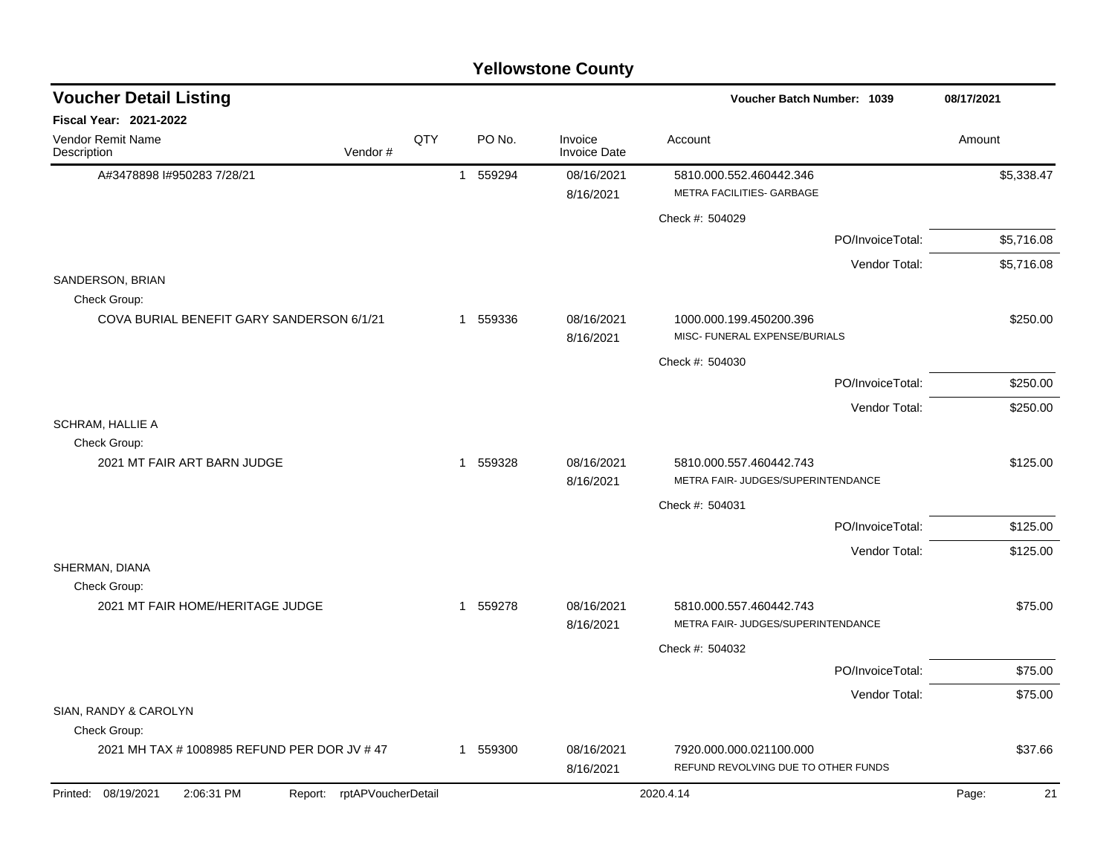| <b>Yellowstone County</b> |  |
|---------------------------|--|
|---------------------------|--|

| <b>Voucher Detail Listing</b>                    |                            |     |          |                                | Voucher Batch Number: 1039                                     |                  | 08/17/2021  |
|--------------------------------------------------|----------------------------|-----|----------|--------------------------------|----------------------------------------------------------------|------------------|-------------|
| <b>Fiscal Year: 2021-2022</b>                    |                            |     |          |                                |                                                                |                  |             |
| Vendor Remit Name<br>Description                 | Vendor#                    | QTY | PO No.   | Invoice<br><b>Invoice Date</b> | Account                                                        |                  | Amount      |
| A#3478898 I#950283 7/28/21                       |                            |     | 1 559294 | 08/16/2021<br>8/16/2021        | 5810.000.552.460442.346<br>METRA FACILITIES- GARBAGE           |                  | \$5,338.47  |
|                                                  |                            |     |          |                                | Check #: 504029                                                |                  |             |
|                                                  |                            |     |          |                                |                                                                | PO/InvoiceTotal: | \$5,716.08  |
|                                                  |                            |     |          |                                |                                                                | Vendor Total:    | \$5,716.08  |
| SANDERSON, BRIAN<br>Check Group:                 |                            |     |          |                                |                                                                |                  |             |
| COVA BURIAL BENEFIT GARY SANDERSON 6/1/21        |                            |     | 1 559336 | 08/16/2021<br>8/16/2021        | 1000.000.199.450200.396<br>MISC- FUNERAL EXPENSE/BURIALS       |                  | \$250.00    |
|                                                  |                            |     |          |                                | Check #: 504030                                                |                  |             |
|                                                  |                            |     |          |                                |                                                                | PO/InvoiceTotal: | \$250.00    |
|                                                  |                            |     |          |                                |                                                                | Vendor Total:    | \$250.00    |
| <b>SCHRAM, HALLIE A</b><br>Check Group:          |                            |     |          |                                |                                                                |                  |             |
| 2021 MT FAIR ART BARN JUDGE                      |                            |     | 1 559328 | 08/16/2021<br>8/16/2021        | 5810.000.557.460442.743<br>METRA FAIR- JUDGES/SUPERINTENDANCE  |                  | \$125.00    |
|                                                  |                            |     |          |                                | Check #: 504031                                                |                  |             |
|                                                  |                            |     |          |                                |                                                                | PO/InvoiceTotal: | \$125.00    |
|                                                  |                            |     |          |                                |                                                                | Vendor Total:    | \$125.00    |
| SHERMAN, DIANA                                   |                            |     |          |                                |                                                                |                  |             |
| Check Group:<br>2021 MT FAIR HOME/HERITAGE JUDGE |                            |     | 1 559278 | 08/16/2021<br>8/16/2021        | 5810.000.557.460442.743<br>METRA FAIR- JUDGES/SUPERINTENDANCE  |                  | \$75.00     |
|                                                  |                            |     |          |                                | Check #: 504032                                                |                  |             |
|                                                  |                            |     |          |                                |                                                                | PO/InvoiceTotal: | \$75.00     |
|                                                  |                            |     |          |                                |                                                                | Vendor Total:    | \$75.00     |
| SIAN, RANDY & CAROLYN                            |                            |     |          |                                |                                                                |                  |             |
| Check Group:                                     |                            |     |          |                                |                                                                |                  |             |
| 2021 MH TAX # 1008985 REFUND PER DOR JV # 47     |                            |     | 1 559300 | 08/16/2021<br>8/16/2021        | 7920.000.000.021100.000<br>REFUND REVOLVING DUE TO OTHER FUNDS |                  | \$37.66     |
| Printed: 08/19/2021<br>2:06:31 PM                | Report: rptAPVoucherDetail |     |          |                                | 2020.4.14                                                      |                  | 21<br>Page: |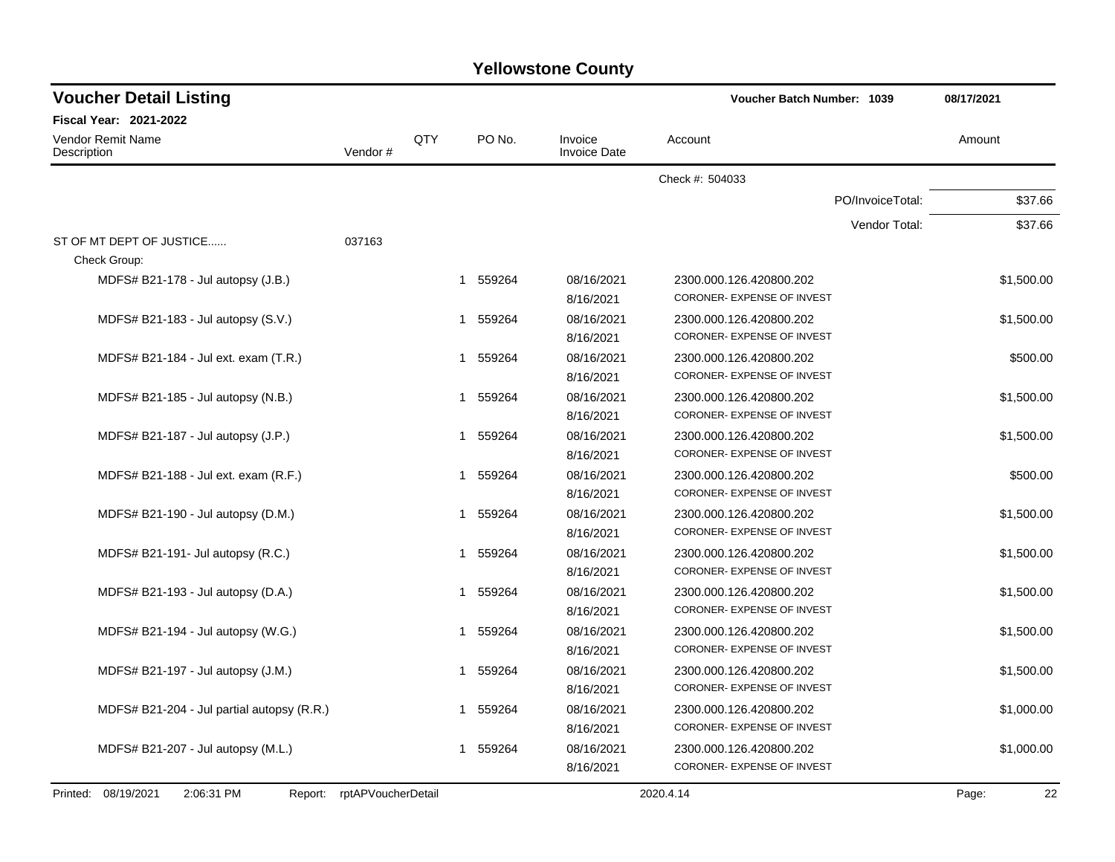| <b>Yellowstone County</b> |  |
|---------------------------|--|
|---------------------------|--|

| <b>Voucher Detail Listing</b>                |                    |     |             |                                | Voucher Batch Number: 1039                            |                  | 08/17/2021  |
|----------------------------------------------|--------------------|-----|-------------|--------------------------------|-------------------------------------------------------|------------------|-------------|
| <b>Fiscal Year: 2021-2022</b>                |                    |     |             |                                |                                                       |                  |             |
| <b>Vendor Remit Name</b><br>Description      | Vendor#            | QTY | PO No.      | Invoice<br><b>Invoice Date</b> | Account                                               |                  | Amount      |
|                                              |                    |     |             |                                | Check #: 504033                                       |                  |             |
|                                              |                    |     |             |                                |                                                       | PO/InvoiceTotal: | \$37.66     |
|                                              |                    |     |             |                                |                                                       | Vendor Total:    | \$37.66     |
| ST OF MT DEPT OF JUSTICE                     | 037163             |     |             |                                |                                                       |                  |             |
| Check Group:                                 |                    |     |             |                                |                                                       |                  |             |
| MDFS# B21-178 - Jul autopsy (J.B.)           |                    |     | 1 559264    | 08/16/2021<br>8/16/2021        | 2300.000.126.420800.202<br>CORONER- EXPENSE OF INVEST |                  | \$1,500.00  |
| MDFS# B21-183 - Jul autopsy (S.V.)           |                    |     | 559264<br>1 | 08/16/2021                     | 2300.000.126.420800.202                               |                  | \$1,500.00  |
|                                              |                    |     |             | 8/16/2021                      | CORONER- EXPENSE OF INVEST                            |                  |             |
| MDFS# B21-184 - Jul ext. exam (T.R.)         |                    |     | 559264<br>1 | 08/16/2021<br>8/16/2021        | 2300.000.126.420800.202<br>CORONER- EXPENSE OF INVEST |                  | \$500.00    |
| MDFS# B21-185 - Jul autopsy (N.B.)           |                    |     | 559264<br>1 | 08/16/2021                     | 2300.000.126.420800.202                               |                  | \$1,500.00  |
|                                              |                    |     |             | 8/16/2021                      | CORONER- EXPENSE OF INVEST                            |                  |             |
| MDFS# B21-187 - Jul autopsy (J.P.)           |                    |     | 559264<br>1 | 08/16/2021                     | 2300.000.126.420800.202                               |                  | \$1,500.00  |
|                                              |                    |     |             | 8/16/2021                      | CORONER- EXPENSE OF INVEST                            |                  |             |
| MDFS# B21-188 - Jul ext. exam (R.F.)         |                    |     | 559264<br>1 | 08/16/2021                     | 2300.000.126.420800.202                               |                  | \$500.00    |
|                                              |                    |     |             | 8/16/2021                      | CORONER- EXPENSE OF INVEST                            |                  |             |
| MDFS# B21-190 - Jul autopsy (D.M.)           |                    |     | 559264<br>1 | 08/16/2021                     | 2300.000.126.420800.202                               |                  | \$1,500.00  |
|                                              |                    |     |             | 8/16/2021                      | CORONER- EXPENSE OF INVEST                            |                  |             |
| MDFS# B21-191- Jul autopsy (R.C.)            |                    |     | 559264<br>1 | 08/16/2021                     | 2300.000.126.420800.202                               |                  | \$1,500.00  |
|                                              |                    |     |             | 8/16/2021                      | CORONER- EXPENSE OF INVEST                            |                  |             |
| MDFS# B21-193 - Jul autopsy (D.A.)           |                    |     | 559264<br>1 | 08/16/2021                     | 2300.000.126.420800.202                               |                  | \$1,500.00  |
|                                              |                    |     |             | 8/16/2021                      | CORONER- EXPENSE OF INVEST                            |                  |             |
| MDFS# B21-194 - Jul autopsy (W.G.)           |                    |     | 559264<br>1 | 08/16/2021                     | 2300.000.126.420800.202                               |                  | \$1,500.00  |
|                                              |                    |     |             | 8/16/2021                      | CORONER- EXPENSE OF INVEST                            |                  |             |
| MDFS# B21-197 - Jul autopsy (J.M.)           |                    |     | 559264<br>1 | 08/16/2021                     | 2300.000.126.420800.202                               |                  | \$1,500.00  |
|                                              |                    |     |             | 8/16/2021                      | CORONER- EXPENSE OF INVEST                            |                  |             |
| MDFS# B21-204 - Jul partial autopsy (R.R.)   |                    |     | 1 559264    | 08/16/2021                     | 2300.000.126.420800.202                               |                  | \$1,000.00  |
|                                              |                    |     |             | 8/16/2021                      | CORONER- EXPENSE OF INVEST                            |                  |             |
| MDFS# B21-207 - Jul autopsy (M.L.)           |                    |     | 559264      | 08/16/2021                     | 2300.000.126.420800.202                               |                  | \$1,000.00  |
|                                              |                    |     |             | 8/16/2021                      | CORONER- EXPENSE OF INVEST                            |                  |             |
| Printed: 08/19/2021<br>2:06:31 PM<br>Report: | rptAPVoucherDetail |     |             |                                | 2020.4.14                                             |                  | 22<br>Page: |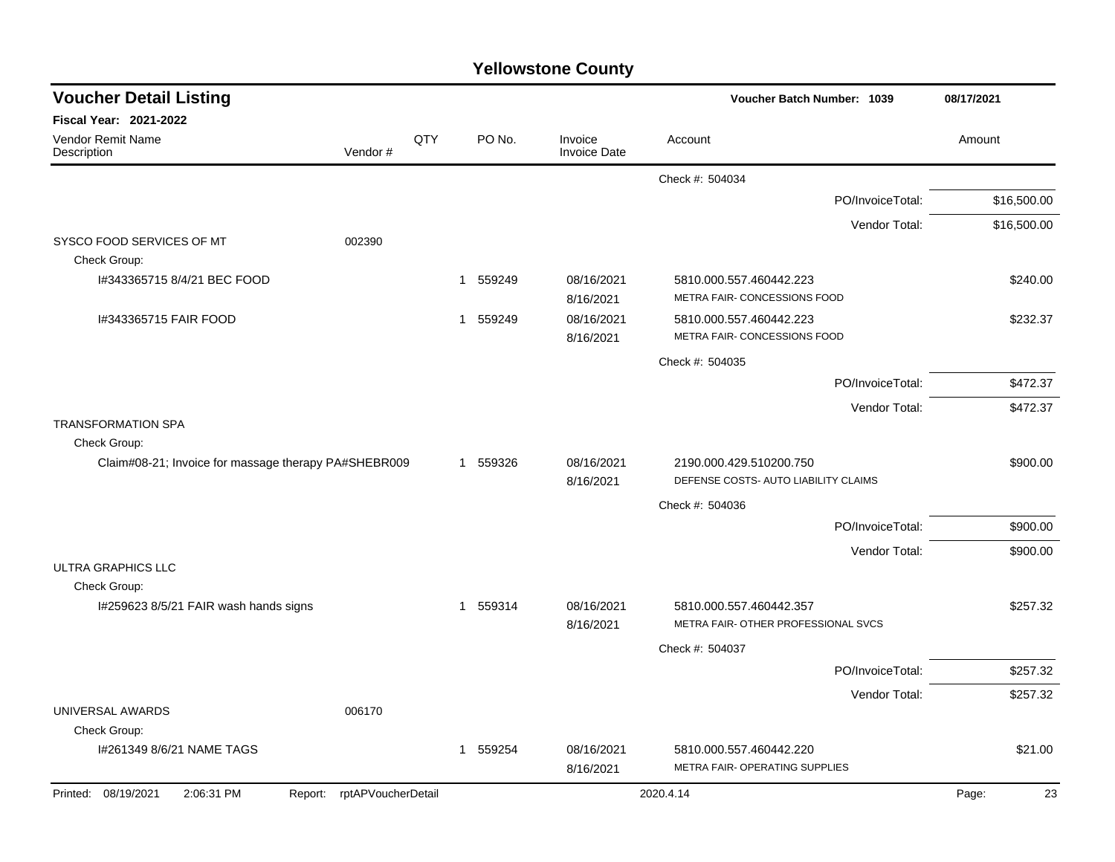| <b>Yellowstone County</b> |  |
|---------------------------|--|
|---------------------------|--|

| <b>Voucher Detail Listing</b>                        |                    |     |             |                                | Voucher Batch Number: 1039                                      | 08/17/2021  |
|------------------------------------------------------|--------------------|-----|-------------|--------------------------------|-----------------------------------------------------------------|-------------|
| Fiscal Year: 2021-2022                               |                    |     |             |                                |                                                                 |             |
| Vendor Remit Name<br>Description                     | Vendor#            | QTY | PO No.      | Invoice<br><b>Invoice Date</b> | Account                                                         | Amount      |
|                                                      |                    |     |             |                                | Check #: 504034                                                 |             |
|                                                      |                    |     |             |                                | PO/InvoiceTotal:                                                | \$16,500.00 |
|                                                      |                    |     |             |                                | Vendor Total:                                                   | \$16,500.00 |
| SYSCO FOOD SERVICES OF MT                            | 002390             |     |             |                                |                                                                 |             |
| Check Group:                                         |                    |     |             |                                |                                                                 |             |
| I#343365715 8/4/21 BEC FOOD                          |                    |     | 559249<br>1 | 08/16/2021<br>8/16/2021        | 5810.000.557.460442.223<br>METRA FAIR- CONCESSIONS FOOD         | \$240.00    |
| I#343365715 FAIR FOOD                                |                    |     | 1 559249    | 08/16/2021<br>8/16/2021        | 5810.000.557.460442.223<br>METRA FAIR- CONCESSIONS FOOD         | \$232.37    |
|                                                      |                    |     |             |                                | Check #: 504035                                                 |             |
|                                                      |                    |     |             |                                | PO/InvoiceTotal:                                                | \$472.37    |
|                                                      |                    |     |             |                                | Vendor Total:                                                   | \$472.37    |
| <b>TRANSFORMATION SPA</b><br>Check Group:            |                    |     |             |                                |                                                                 |             |
| Claim#08-21; Invoice for massage therapy PA#SHEBR009 |                    |     | 1 559326    | 08/16/2021<br>8/16/2021        | 2190.000.429.510200.750<br>DEFENSE COSTS- AUTO LIABILITY CLAIMS | \$900.00    |
|                                                      |                    |     |             |                                | Check #: 504036                                                 |             |
|                                                      |                    |     |             |                                | PO/InvoiceTotal:                                                | \$900.00    |
|                                                      |                    |     |             |                                | Vendor Total:                                                   | \$900.00    |
| <b>ULTRA GRAPHICS LLC</b><br>Check Group:            |                    |     |             |                                |                                                                 |             |
| I#259623 8/5/21 FAIR wash hands signs                |                    |     | 1 559314    | 08/16/2021<br>8/16/2021        | 5810.000.557.460442.357<br>METRA FAIR- OTHER PROFESSIONAL SVCS  | \$257.32    |
|                                                      |                    |     |             |                                | Check #: 504037                                                 |             |
|                                                      |                    |     |             |                                | PO/InvoiceTotal:                                                | \$257.32    |
|                                                      |                    |     |             |                                | Vendor Total:                                                   | \$257.32    |
| UNIVERSAL AWARDS                                     | 006170             |     |             |                                |                                                                 |             |
| Check Group:                                         |                    |     |             |                                |                                                                 |             |
| I#261349 8/6/21 NAME TAGS                            |                    |     | 1 559254    | 08/16/2021<br>8/16/2021        | 5810.000.557.460442.220<br>METRA FAIR- OPERATING SUPPLIES       | \$21.00     |
| Printed: 08/19/2021<br>2:06:31 PM<br>Report:         | rptAPVoucherDetail |     |             |                                | 2020.4.14                                                       | 23<br>Page: |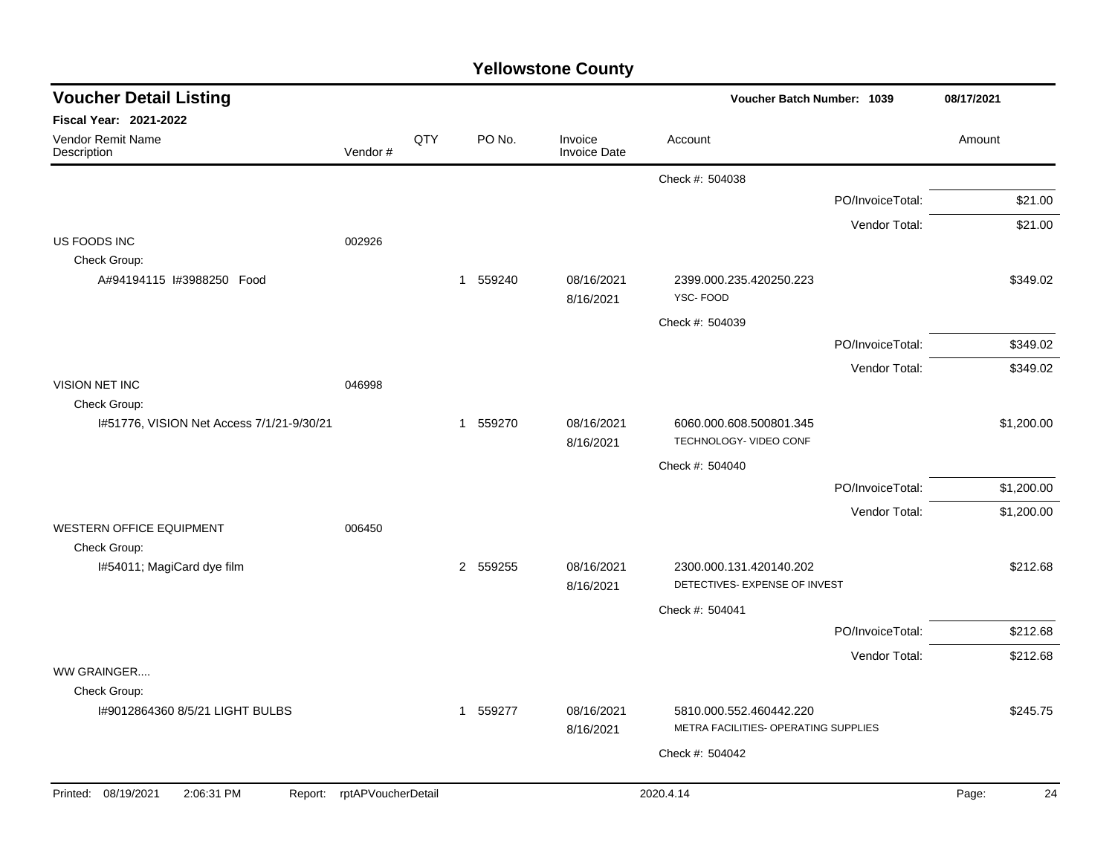|  | <b>Yellowstone County</b> |  |
|--|---------------------------|--|
|--|---------------------------|--|

| <b>Voucher Detail Listing</b>                   |                            |     |          |                                | <b>Voucher Batch Number: 1039</b>                               |                  | 08/17/2021  |
|-------------------------------------------------|----------------------------|-----|----------|--------------------------------|-----------------------------------------------------------------|------------------|-------------|
| Fiscal Year: 2021-2022                          |                            |     |          |                                |                                                                 |                  |             |
| Vendor Remit Name<br>Description                | Vendor#                    | QTY | PO No.   | Invoice<br><b>Invoice Date</b> | Account                                                         |                  | Amount      |
|                                                 |                            |     |          |                                | Check #: 504038                                                 |                  |             |
|                                                 |                            |     |          |                                |                                                                 | PO/InvoiceTotal: | \$21.00     |
|                                                 |                            |     |          |                                |                                                                 | Vendor Total:    | \$21.00     |
| US FOODS INC                                    | 002926                     |     |          |                                |                                                                 |                  |             |
| Check Group:<br>A#94194115 I#3988250 Food       |                            |     | 1 559240 | 08/16/2021<br>8/16/2021        | 2399.000.235.420250.223<br>YSC-FOOD                             |                  | \$349.02    |
|                                                 |                            |     |          |                                | Check #: 504039                                                 |                  |             |
|                                                 |                            |     |          |                                |                                                                 | PO/InvoiceTotal: | \$349.02    |
|                                                 |                            |     |          |                                |                                                                 | Vendor Total:    | \$349.02    |
| VISION NET INC<br>Check Group:                  | 046998                     |     |          |                                |                                                                 |                  |             |
| I#51776, VISION Net Access 7/1/21-9/30/21       |                            |     | 1 559270 | 08/16/2021<br>8/16/2021        | 6060.000.608.500801.345<br>TECHNOLOGY- VIDEO CONF               |                  | \$1,200.00  |
|                                                 |                            |     |          |                                | Check #: 504040                                                 |                  |             |
|                                                 |                            |     |          |                                |                                                                 | PO/InvoiceTotal: | \$1,200.00  |
|                                                 |                            |     |          |                                |                                                                 | Vendor Total:    | \$1,200.00  |
| <b>WESTERN OFFICE EQUIPMENT</b>                 | 006450                     |     |          |                                |                                                                 |                  |             |
| Check Group:<br>I#54011; MagiCard dye film      |                            |     | 2 559255 | 08/16/2021<br>8/16/2021        | 2300.000.131.420140.202<br>DETECTIVES- EXPENSE OF INVEST        |                  | \$212.68    |
|                                                 |                            |     |          |                                | Check #: 504041                                                 |                  |             |
|                                                 |                            |     |          |                                |                                                                 | PO/InvoiceTotal: | \$212.68    |
|                                                 |                            |     |          |                                |                                                                 | Vendor Total:    | \$212.68    |
| WW GRAINGER                                     |                            |     |          |                                |                                                                 |                  |             |
| Check Group:<br>1#9012864360 8/5/21 LIGHT BULBS |                            |     | 1 559277 | 08/16/2021<br>8/16/2021        | 5810.000.552.460442.220<br>METRA FACILITIES- OPERATING SUPPLIES |                  | \$245.75    |
|                                                 |                            |     |          |                                | Check #: 504042                                                 |                  |             |
|                                                 |                            |     |          |                                |                                                                 |                  |             |
| Printed: 08/19/2021<br>2:06:31 PM               | Report: rptAPVoucherDetail |     |          |                                | 2020.4.14                                                       |                  | Page:<br>24 |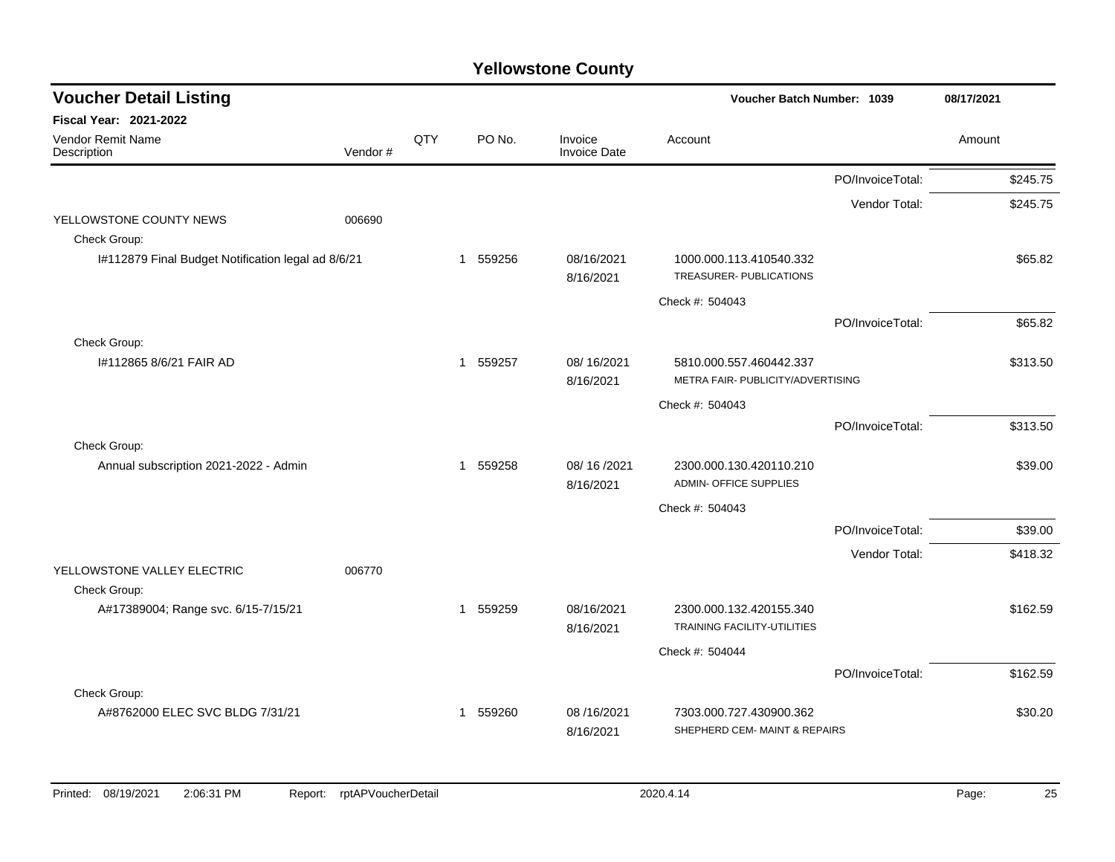| <b>Voucher Detail Listing</b>                      |         |     |                        |                                |                                                               | Voucher Batch Number: 1039 |          |  |
|----------------------------------------------------|---------|-----|------------------------|--------------------------------|---------------------------------------------------------------|----------------------------|----------|--|
| <b>Fiscal Year: 2021-2022</b>                      |         |     |                        |                                |                                                               |                            |          |  |
| Vendor Remit Name<br>Description                   | Vendor# | QTY | PO No.                 | Invoice<br><b>Invoice Date</b> | Account                                                       |                            | Amount   |  |
|                                                    |         |     |                        |                                |                                                               | PO/InvoiceTotal:           | \$245.75 |  |
|                                                    |         |     |                        |                                |                                                               | Vendor Total:              | \$245.75 |  |
| YELLOWSTONE COUNTY NEWS                            | 006690  |     |                        |                                |                                                               |                            |          |  |
| Check Group:                                       |         |     |                        |                                |                                                               |                            |          |  |
| I#112879 Final Budget Notification legal ad 8/6/21 |         |     | 559256<br>$\mathbf{1}$ | 08/16/2021<br>8/16/2021        | 1000.000.113.410540.332<br><b>TREASURER- PUBLICATIONS</b>     |                            | \$65.82  |  |
|                                                    |         |     |                        |                                | Check #: 504043                                               |                            |          |  |
|                                                    |         |     |                        |                                |                                                               | PO/InvoiceTotal:           | \$65.82  |  |
| Check Group:                                       |         |     |                        |                                |                                                               |                            |          |  |
| I#112865 8/6/21 FAIR AD                            |         |     | 1 559257               | 08/16/2021<br>8/16/2021        | 5810.000.557.460442.337<br>METRA FAIR- PUBLICITY/ADVERTISING  |                            | \$313.50 |  |
|                                                    |         |     |                        |                                | Check #: 504043                                               |                            |          |  |
|                                                    |         |     |                        |                                |                                                               | PO/InvoiceTotal:           | \$313.50 |  |
| Check Group:                                       |         |     |                        |                                |                                                               |                            |          |  |
| Annual subscription 2021-2022 - Admin              |         |     | 1 559258               | 08/16/2021<br>8/16/2021        | 2300.000.130.420110.210<br><b>ADMIN- OFFICE SUPPLIES</b>      |                            | \$39.00  |  |
|                                                    |         |     |                        |                                | Check #: 504043                                               |                            |          |  |
|                                                    |         |     |                        |                                |                                                               | PO/InvoiceTotal:           | \$39.00  |  |
|                                                    |         |     |                        |                                |                                                               | Vendor Total:              | \$418.32 |  |
| YELLOWSTONE VALLEY ELECTRIC                        | 006770  |     |                        |                                |                                                               |                            |          |  |
| Check Group:                                       |         |     |                        |                                |                                                               |                            |          |  |
| A#17389004; Range svc. 6/15-7/15/21                |         |     | 1 559259               | 08/16/2021<br>8/16/2021        | 2300.000.132.420155.340<br><b>TRAINING FACILITY-UTILITIES</b> |                            | \$162.59 |  |
|                                                    |         |     |                        |                                | Check #: 504044                                               |                            |          |  |
|                                                    |         |     |                        |                                |                                                               | PO/InvoiceTotal:           | \$162.59 |  |
| Check Group:                                       |         |     |                        |                                |                                                               |                            |          |  |
| A#8762000 ELEC SVC BLDG 7/31/21                    |         |     | 559260<br>1            | 08/16/2021<br>8/16/2021        | 7303.000.727.430900.362<br>SHEPHERD CEM- MAINT & REPAIRS      |                            | \$30.20  |  |